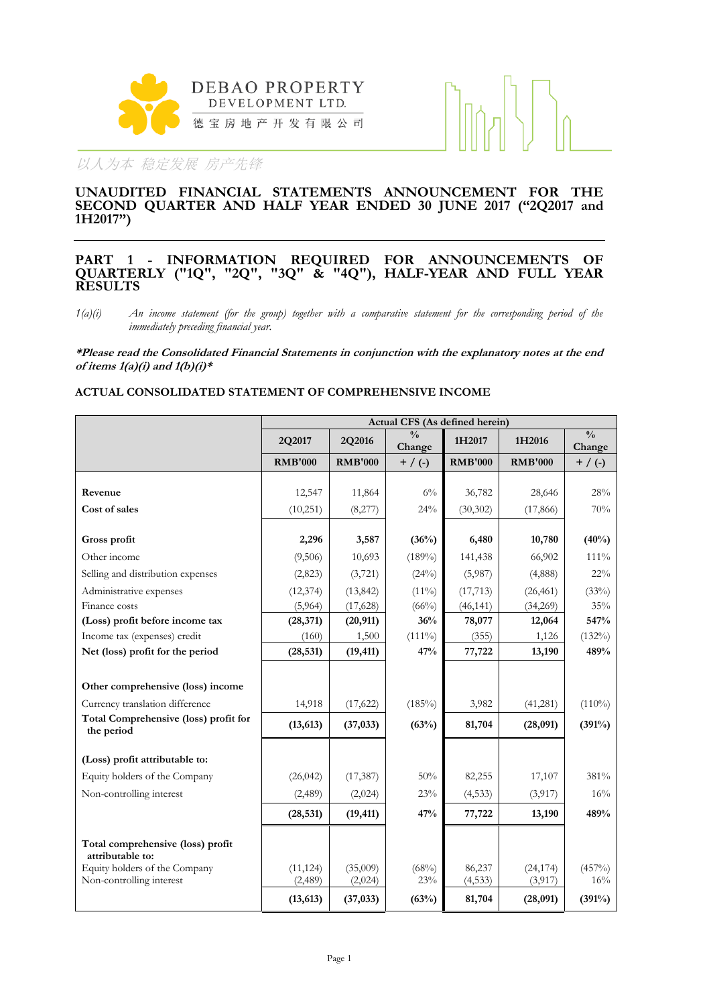



#### **UNAUDITED FINANCIAL STATEMENTS ANNOUNCEMENT FOR THE SECOND QUARTER AND HALF YEAR ENDED 30 JUNE 2017 ("2Q2017 and 1H2017")**

#### **PART 1 - INFORMATION REQUIRED FOR ANNOUNCEMENTS OF QUARTERLY ("1Q", "2Q", "3Q" & "4Q"), HALF-YEAR AND FULL YEAR RESULTS**

*1(a)(i) An income statement (for the group) together with a comparative statement for the corresponding period of the immediately preceding financial year.*

**\*Please read the Consolidated Financial Statements in conjunction with the explanatory notes at the end of items 1(a)(i) and 1(b)(i)\***

#### **ACTUAL CONSOLIDATED STATEMENT OF COMPREHENSIVE INCOME**

|                                                       | Actual CFS (As defined herein) |                |                         |                |                |                         |  |  |
|-------------------------------------------------------|--------------------------------|----------------|-------------------------|----------------|----------------|-------------------------|--|--|
|                                                       | 2Q2017                         | 2Q2016         | $\frac{0}{0}$<br>Change | 1H2017         | 1H2016         | $\frac{0}{0}$<br>Change |  |  |
|                                                       | <b>RMB'000</b>                 | <b>RMB'000</b> | $+$ / (-)               | <b>RMB'000</b> | <b>RMB'000</b> | $+$ / (-)               |  |  |
|                                                       |                                |                |                         |                |                |                         |  |  |
| Revenue                                               | 12,547                         | 11,864         | $6\%$                   | 36,782         | 28,646         | 28%                     |  |  |
| Cost of sales                                         | (10,251)                       | (8,277)        | 24%                     | (30, 302)      | (17,866)       | 70%                     |  |  |
| Gross profit                                          | 2,296                          | 3,587          | (36%)                   | 6,480          | 10,780         | (40%)                   |  |  |
| Other income                                          | (9,506)                        | 10,693         | $(189\%)$               | 141,438        | 66,902         | 111%                    |  |  |
| Selling and distribution expenses                     | (2,823)                        | (3,721)        | (24%)                   | (5,987)        | (4,888)        | 22%                     |  |  |
| Administrative expenses                               | (12, 374)                      | (13, 842)      | $(11\%)$                | (17, 713)      | (26, 461)      | (33%)                   |  |  |
| Finance costs                                         | (5,964)                        | (17, 628)      | (66%)                   | (46, 141)      | (34,269)       | 35%                     |  |  |
| (Loss) profit before income tax                       | (28, 371)                      | (20, 911)      | 36%                     | 78,077         | 12,064         | 547%                    |  |  |
| Income tax (expenses) credit                          | (160)                          | 1,500          | $(111\%)$               | (355)          | 1,126          | $(132\%)$               |  |  |
| Net (loss) profit for the period                      | (28, 531)                      | (19, 411)      | 47%                     | 77,722         | 13,190         | 489%                    |  |  |
|                                                       |                                |                |                         |                |                |                         |  |  |
| Other comprehensive (loss) income                     |                                |                |                         |                |                |                         |  |  |
| Currency translation difference                       | 14,918                         | (17, 622)      | $(185\%)$               | 3,982          | (41,281)       | $(110\%)$               |  |  |
| Total Comprehensive (loss) profit for<br>the period   | (13, 613)                      | (37, 033)      | (63%)                   | 81,704         | (28,091)       | (391%)                  |  |  |
| (Loss) profit attributable to:                        |                                |                |                         |                |                |                         |  |  |
| Equity holders of the Company                         | (26, 042)                      | (17, 387)      | 50%                     | 82,255         | 17,107         | 381%                    |  |  |
| Non-controlling interest                              | (2,489)                        | (2,024)        | 23%                     | (4,533)        | (3,917)        | 16%                     |  |  |
|                                                       | (28, 531)                      | (19, 411)      | 47%                     | 77,722         | 13,190         | 489%                    |  |  |
| Total comprehensive (loss) profit<br>attributable to: |                                |                |                         |                |                |                         |  |  |
| Equity holders of the Company                         | (11, 124)                      | (35,009)       | (68%)                   | 86,237         | (24, 174)      | $(457\%)$               |  |  |
| Non-controlling interest                              | (2,489)                        | (2,024)        | 23%                     | (4, 533)       | (3,917)        | 16%                     |  |  |
|                                                       | (13, 613)                      | (37, 033)      | (63%)                   | 81,704         | (28,091)       | (391%)                  |  |  |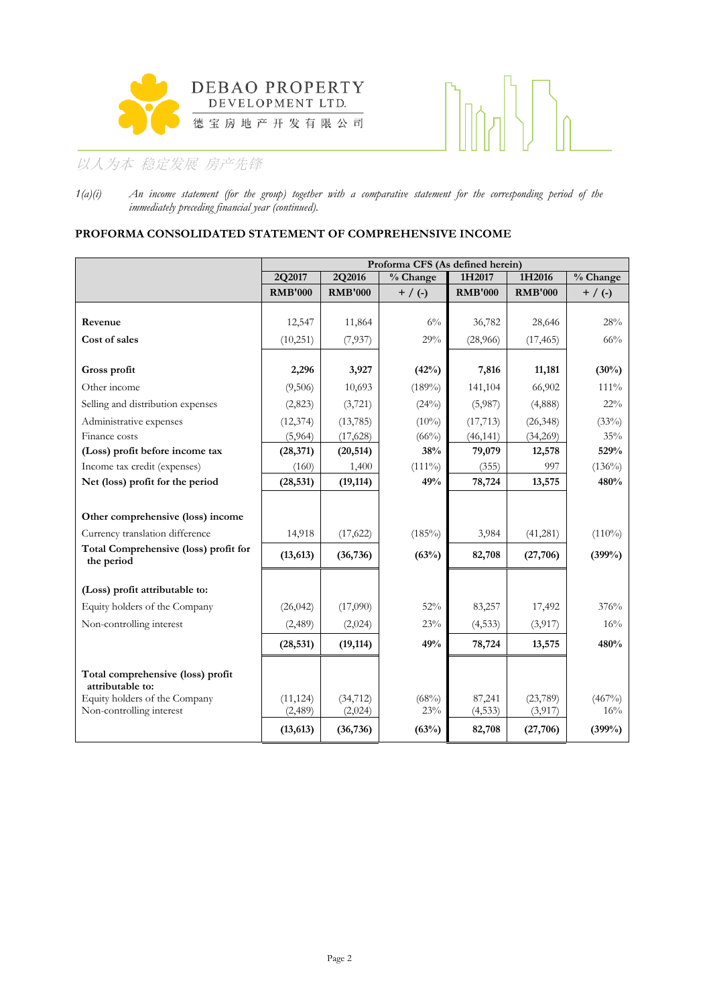



*1(a)(i) An income statement (for the group) together with a comparative statement for the corresponding period of the immediately preceding financial year (continued).*

### **PROFORMA CONSOLIDATED STATEMENT OF COMPREHENSIVE INCOME**

|                                                           |                      | Proforma CFS (As defined herein) |                      |                        |                       |               |  |  |  |  |
|-----------------------------------------------------------|----------------------|----------------------------------|----------------------|------------------------|-----------------------|---------------|--|--|--|--|
|                                                           | 2Q2017               | 2Q2016                           | $\sqrt[9]{6}$ Change | 1H2017                 | 1H2016                | % Change      |  |  |  |  |
|                                                           | <b>RMB'000</b>       | <b>RMB'000</b>                   | $+$ / (-)            | <b>RMB'000</b>         | <b>RMB'000</b>        | $+$ / (-)     |  |  |  |  |
|                                                           |                      |                                  |                      |                        |                       |               |  |  |  |  |
| Revenue                                                   | 12,547               | 11,864                           | $6\%$                | 36,782                 | 28,646                | 28%           |  |  |  |  |
| Cost of sales                                             | (10,251)             | (7,937)                          | 29%                  | (28,966)               | (17, 465)             | 66%           |  |  |  |  |
| Gross profit                                              | 2,296                | 3,927                            | (42%)                | 7,816                  | 11,181                | (30%)         |  |  |  |  |
| Other income                                              | (9,506)              | 10,693                           | $(189\%)$            | 141,104                | 66,902                | $111\%$       |  |  |  |  |
| Selling and distribution expenses                         | (2,823)              | (3,721)                          | (24%)                | (5,987)                | (4,888)               | 22%           |  |  |  |  |
|                                                           |                      |                                  |                      |                        |                       |               |  |  |  |  |
| Administrative expenses<br>Finance costs                  | (12, 374)<br>(5,964) | (13, 785)<br>(17, 628)           | $(10\%)$<br>$(66\%)$ | (17, 713)<br>(46, 141) | (26, 348)<br>(34,269) | (33%)<br>35%  |  |  |  |  |
| (Loss) profit before income tax                           | (28, 371)            | (20, 514)                        | 38%                  | 79,079                 | 12,578                | 529%          |  |  |  |  |
| Income tax credit (expenses)                              | (160)                | 1,400                            | $(111\%)$            | (355)                  | 997                   | $(136\%)$     |  |  |  |  |
| Net (loss) profit for the period                          | (28, 531)            | (19, 114)                        | 49%                  | 78,724                 | 13,575                | 480%          |  |  |  |  |
|                                                           |                      |                                  |                      |                        |                       |               |  |  |  |  |
| Other comprehensive (loss) income                         |                      |                                  |                      |                        |                       |               |  |  |  |  |
| Currency translation difference                           | 14,918               | (17, 622)                        | $(185\%)$            | 3,984                  | (41,281)              | $(110\%)$     |  |  |  |  |
| Total Comprehensive (loss) profit for<br>the period       | (13, 613)            | (36, 736)                        | (63%)                | 82,708                 | (27,706)              | (399%)        |  |  |  |  |
|                                                           |                      |                                  |                      |                        |                       |               |  |  |  |  |
| (Loss) profit attributable to:                            |                      |                                  |                      |                        |                       |               |  |  |  |  |
| Equity holders of the Company                             | (26, 042)            | (17,090)                         | 52%                  | 83,257                 | 17,492                | 376%          |  |  |  |  |
| Non-controlling interest                                  | (2,489)              | (2,024)                          | 23%                  | (4,533)                | (3,917)               | 16%           |  |  |  |  |
|                                                           | (28, 531)            | (19, 114)                        | 49%                  | 78,724                 | 13,575                | 480%          |  |  |  |  |
| Total comprehensive (loss) profit<br>attributable to:     |                      |                                  |                      |                        |                       |               |  |  |  |  |
| Equity holders of the Company<br>Non-controlling interest | (11, 124)<br>(2,489) | (34, 712)<br>(2,024)             | (68%)<br>23%         | 87,241<br>(4, 533)     | (23,789)<br>(3, 917)  | (467%)<br>16% |  |  |  |  |
|                                                           | (13, 613)            | (36, 736)                        | (63%)                | 82,708                 | (27,706)              | (399%)        |  |  |  |  |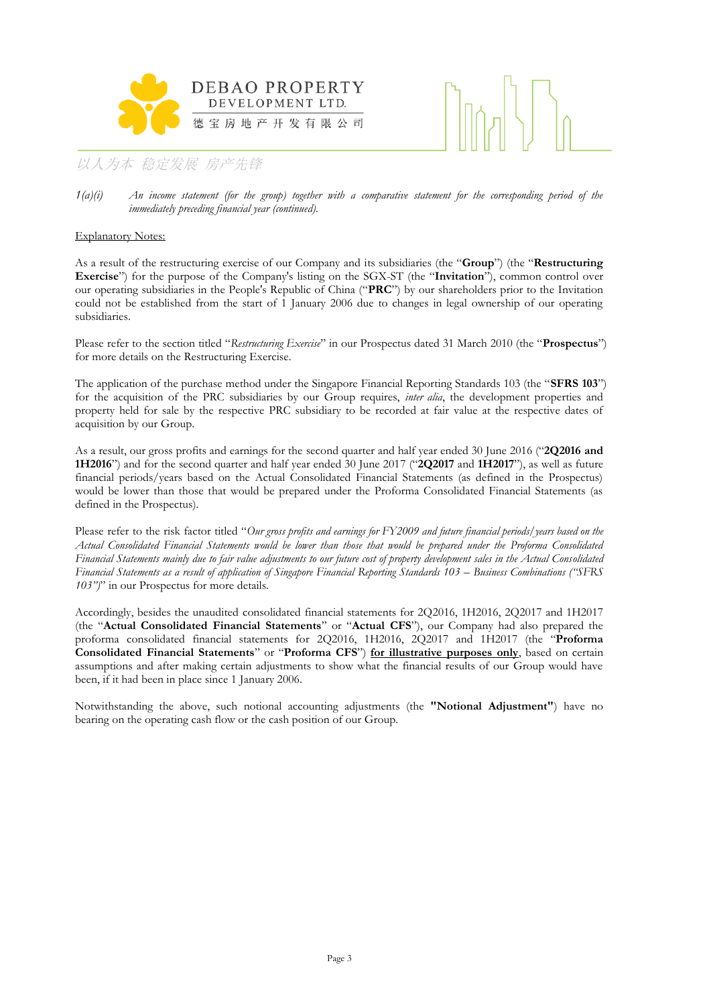



#### Explanatory Notes:

As a result of the restructuring exercise of our Company and its subsidiaries (the "**Group**") (the "**Restructuring Exercise**") for the purpose of the Company's listing on the SGX-ST (the "**Invitation**"), common control over our operating subsidiaries in the People's Republic of China ("**PRC**") by our shareholders prior to the Invitation could not be established from the start of 1 January 2006 due to changes in legal ownership of our operating subsidiaries.

Please refer to the section titled "*Restructuring Exercise*" in our Prospectus dated 31 March 2010 (the "**Prospectus**") for more details on the Restructuring Exercise.

The application of the purchase method under the Singapore Financial Reporting Standards 103 (the "**SFRS 103**") for the acquisition of the PRC subsidiaries by our Group requires, *inter alia*, the development properties and property held for sale by the respective PRC subsidiary to be recorded at fair value at the respective dates of acquisition by our Group.

As a result, our gross profits and earnings for the second quarter and half year ended 30 June 2016 ("**2Q2016 and 1H2016**") and for the second quarter and half year ended 30 June 2017 ("**2Q2017** and **1H2017**"), as well as future financial periods/years based on the Actual Consolidated Financial Statements (as defined in the Prospectus) would be lower than those that would be prepared under the Proforma Consolidated Financial Statements (as defined in the Prospectus).

Please refer to the risk factor titled "*Our gross profits and earnings for FY2009 and future financial periods/years based on the Actual Consolidated Financial Statements would be lower than those that would be prepared under the Proforma Consolidated Financial Statements mainly due to fair value adjustments to our future cost of property development sales in the Actual Consolidated Financial Statements as a result of application of Singapore Financial Reporting Standards 103 – Business Combinations ("SFRS 103")*" in our Prospectus for more details.

Accordingly, besides the unaudited consolidated financial statements for 2Q2016, 1H2016, 2Q2017 and 1H2017 (the "**Actual Consolidated Financial Statements**" or "**Actual CFS**"), our Company had also prepared the proforma consolidated financial statements for 2Q2016, 1H2016, 2Q2017 and 1H2017 (the "**Proforma Consolidated Financial Statements**" or "**Proforma CFS**") **for illustrative purposes only**, based on certain assumptions and after making certain adjustments to show what the financial results of our Group would have been, if it had been in place since 1 January 2006.

Notwithstanding the above, such notional accounting adjustments (the **"Notional Adjustment"**) have no bearing on the operating cash flow or the cash position of our Group.

*<sup>1(</sup>a)(i) An income statement (for the group) together with a comparative statement for the corresponding period of the immediately preceding financial year (continued).*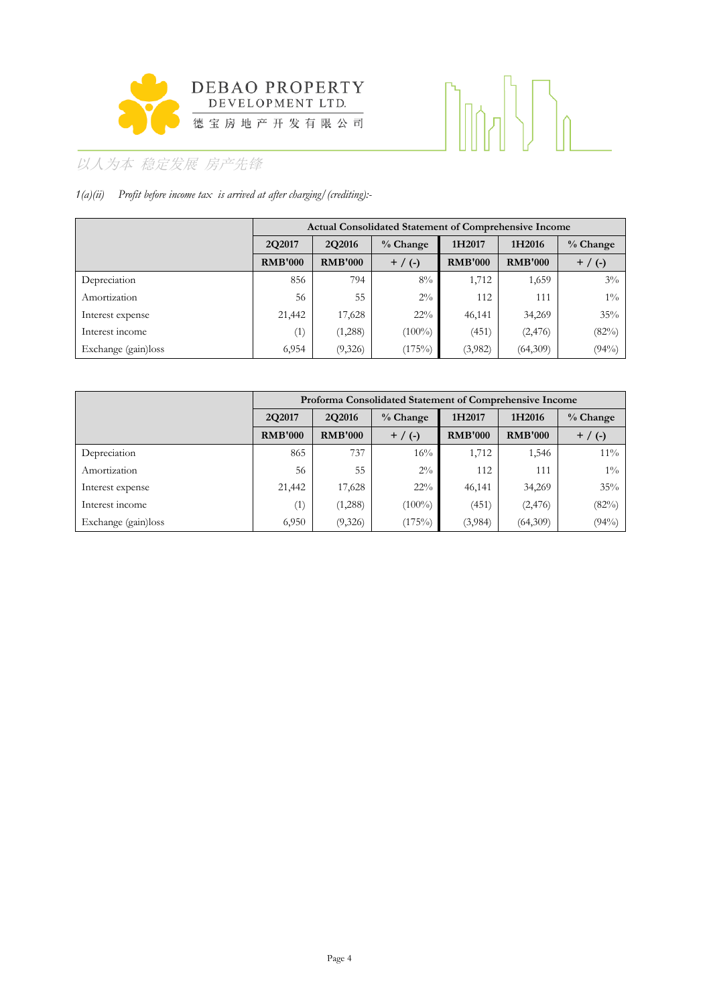

# 

## 以人为本 稳定发展 房产先锋

### *1(a)(ii) Profit before income tax is arrived at after charging/(crediting):-*

|                     |                | <b>Actual Consolidated Statement of Comprehensive Income</b> |            |                |                |             |  |  |  |  |
|---------------------|----------------|--------------------------------------------------------------|------------|----------------|----------------|-------------|--|--|--|--|
|                     | 2Q2017         | 2Q2016                                                       | $%$ Change | 1H2017         | 1H2016         | % Change    |  |  |  |  |
|                     | <b>RMB'000</b> | <b>RMB'000</b>                                               | $+$ / (-)  | <b>RMB'000</b> | <b>RMB'000</b> | $+ / ( - )$ |  |  |  |  |
| Depreciation        | 856            | 794                                                          | $8\%$      | 1,712          | 1,659          | $3\%$       |  |  |  |  |
| Amortization        | 56             | 55                                                           | $2\%$      | 112            | 111            | $1\%$       |  |  |  |  |
| Interest expense    | 21,442         | 17,628                                                       | $22\%$     | 46,141         | 34,269         | 35%         |  |  |  |  |
| Interest income     | (1)            | (1,288)                                                      | $(100\%)$  | (451)          | (2, 476)       | (82%)       |  |  |  |  |
| Exchange (gain)loss | 6,954          | (9,326)                                                      | (175%)     | (3,982)        | (64,309)       | (94%)       |  |  |  |  |

|                     |                |                | Proforma Consolidated Statement of Comprehensive Income |                |                |             |
|---------------------|----------------|----------------|---------------------------------------------------------|----------------|----------------|-------------|
|                     | 2Q2017         | <b>2Q2016</b>  | % Change                                                | 1H2017         | 1H2016         | $%$ Change  |
|                     | <b>RMB'000</b> | <b>RMB'000</b> | $+$ / (-)                                               | <b>RMB'000</b> | <b>RMB'000</b> | $+ / ( - )$ |
| Depreciation        | 865            | 737            | $16\%$                                                  | 1,712          | 1,546          | $11\%$      |
| Amortization        | 56             | 55             | $2\%$                                                   | 112            | 111            | $1\%$       |
| Interest expense    | 21,442         | 17,628         | $22\%$                                                  | 46,141         | 34,269         | 35%         |
| Interest income     | (1)            | (1,288)        | $(100\%)$                                               | (451)          | (2, 476)       | (82%)       |
| Exchange (gain)loss | 6,950          | (9,326)        | (175%)                                                  | (3,984)        | (64,309)       | (94%)       |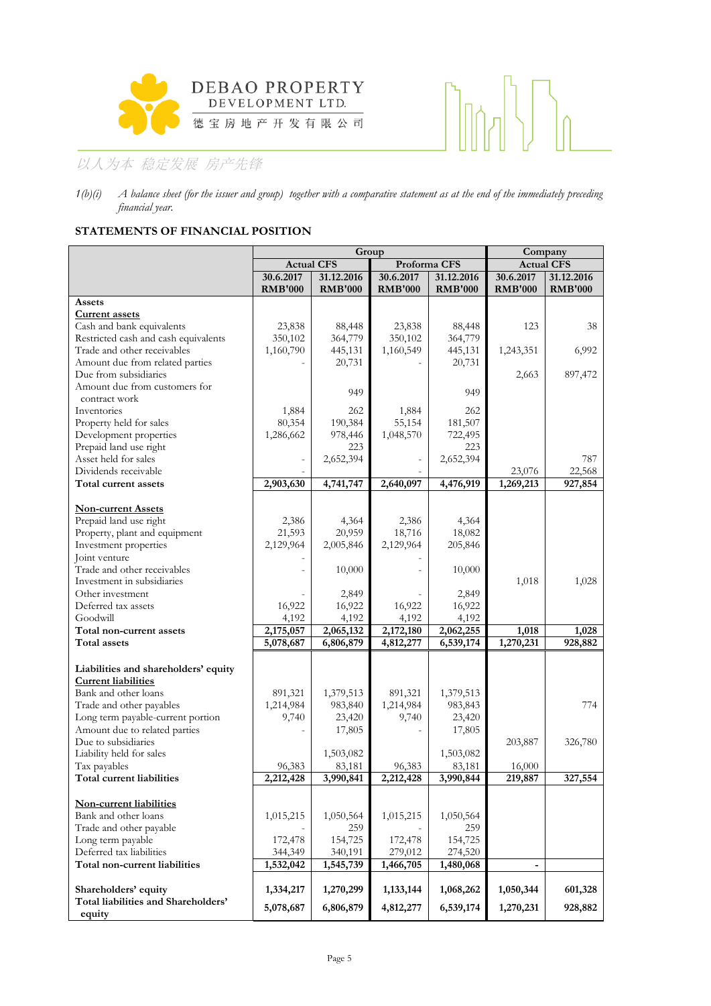



### **STATEMENTS OF FINANCIAL POSITION**

|                                      |                   | Group          | Company        |                |                              |                |
|--------------------------------------|-------------------|----------------|----------------|----------------|------------------------------|----------------|
|                                      | <b>Actual CFS</b> |                | Proforma CFS   |                | <b>Actual CFS</b>            |                |
|                                      | 30.6.2017         | 31.12.2016     | 30.6.2017      | 31.12.2016     | 30.6.2017                    | 31.12.2016     |
|                                      | <b>RMB'000</b>    | <b>RMB'000</b> | <b>RMB'000</b> | <b>RMB'000</b> | <b>RMB'000</b>               | <b>RMB'000</b> |
| Assets                               |                   |                |                |                |                              |                |
| <b>Current assets</b>                |                   |                |                |                |                              |                |
| Cash and bank equivalents            | 23,838            | 88,448         | 23,838         | 88,448         | 123                          | 38             |
| Restricted cash and cash equivalents | 350,102           | 364,779        | 350,102        | 364,779        |                              |                |
| Trade and other receivables          | 1,160,790         | 445,131        | 1,160,549      | 445,131        | 1,243,351                    | 6,992          |
| Amount due from related parties      |                   | 20,731         |                | 20,731         |                              |                |
| Due from subsidiaries                |                   |                |                |                | 2,663                        | 897,472        |
| Amount due from customers for        |                   | 949            |                | 949            |                              |                |
| contract work                        |                   |                |                |                |                              |                |
| Inventories                          | 1,884             | 262            | 1,884          | 262            |                              |                |
| Property held for sales              | 80,354            | 190,384        | 55,154         | 181,507        |                              |                |
| Development properties               | 1,286,662         | 978,446        | 1,048,570      | 722,495        |                              |                |
| Prepaid land use right               |                   | 223            |                | 223            |                              |                |
| Asset held for sales                 |                   | 2,652,394      |                | 2,652,394      |                              | 787            |
| Dividends receivable                 |                   |                |                |                | 23,076                       | 22,568         |
| Total current assets                 | 2,903,630         | 4,741,747      | 2,640,097      | 4,476,919      | 1,269,213                    | 927,854        |
| <b>Non-current Assets</b>            |                   |                |                |                |                              |                |
| Prepaid land use right               | 2,386             | 4,364          | 2,386          | 4,364          |                              |                |
| Property, plant and equipment        | 21,593            | 20,959         | 18,716         | 18,082         |                              |                |
| Investment properties                | 2,129,964         | 2,005,846      | 2,129,964      | 205,846        |                              |                |
| Joint venture                        |                   |                |                |                |                              |                |
| Trade and other receivables          |                   | 10,000         |                | 10,000         |                              |                |
| Investment in subsidiaries           |                   |                |                |                | 1,018                        | 1,028          |
| Other investment                     |                   | 2,849          |                | 2,849          |                              |                |
| Deferred tax assets                  | 16,922            | 16,922         | 16,922         | 16,922         |                              |                |
| Goodwill                             | 4,192             | 4,192          | 4,192          | 4,192          |                              |                |
| Total non-current assets             | 2,175,057         | 2,065,132      | 2,172,180      | 2,062,255      | 1,018                        | 1,028          |
| Total assets                         | 5,078,687         | 6,806,879      | 4,812,277      | 6,539,174      | 1,270,231                    | 928,882        |
|                                      |                   |                |                |                |                              |                |
| Liabilities and shareholders' equity |                   |                |                |                |                              |                |
| <b>Current liabilities</b>           |                   |                |                |                |                              |                |
| Bank and other loans                 | 891,321           | 1,379,513      | 891,321        | 1,379,513      |                              |                |
| Trade and other payables             | 1,214,984         | 983,840        | 1,214,984      | 983,843        |                              | 774            |
| Long term payable-current portion    | 9,740             | 23,420         | 9,740          | 23,420         |                              |                |
| Amount due to related parties        |                   | 17,805         |                | 17,805         |                              |                |
| Due to subsidiaries                  |                   |                |                |                | 203,887                      | 326,780        |
| Liability held for sales             |                   | 1,503,082      |                | 1,503,082      |                              |                |
| Tax payables                         | 96,383            | 83,181         | 96,383         | 83,181         | 16,000                       |                |
| Total current liabilities            | 2,212,428         | 3,990,841      | 2,212,428      | 3,990,844      | 219,887                      | 327,554        |
| Non-current liabilities              |                   |                |                |                |                              |                |
| Bank and other loans                 | 1,015,215         | 1,050,564      | 1,015,215      | 1,050,564      |                              |                |
| Trade and other payable              |                   | 259            |                | 259            |                              |                |
| Long term payable                    | 172,478           | 154,725        | 172,478        | 154,725        |                              |                |
| Deferred tax liabilities             | 344,349           | 340,191        | 279,012        | 274,520        |                              |                |
| Total non-current liabilities        | 1,532,042         | 1,545,739      | 1,466,705      | 1,480,068      | $\qquad \qquad \blacksquare$ |                |
|                                      |                   |                |                |                |                              |                |
| Shareholders' equity                 | 1,334,217         | 1,270,299      | 1,133,144      | 1,068,262      | 1,050,344                    | 601,328        |
| Total liabilities and Shareholders'  |                   |                |                |                |                              |                |
| equity                               | 5,078,687         | 6,806,879      | 4,812,277      | 6,539,174      | 1,270,231                    | 928,882        |

*<sup>1(</sup>b)(i) A balance sheet (for the issuer and group) together with a comparative statement as at the end of the immediately preceding financial year.*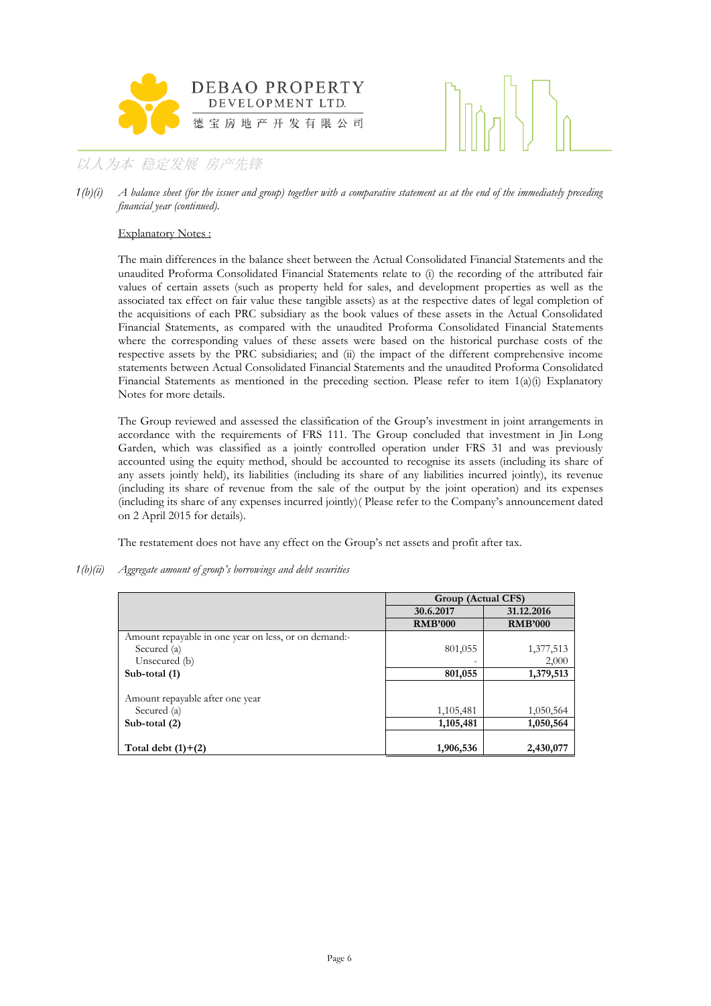



*1(b)(i) A balance sheet (for the issuer and group) together with a comparative statement as at the end of the immediately preceding financial year (continued).*

#### Explanatory Notes :

The main differences in the balance sheet between the Actual Consolidated Financial Statements and the unaudited Proforma Consolidated Financial Statements relate to (i) the recording of the attributed fair values of certain assets (such as property held for sales, and development properties as well as the associated tax effect on fair value these tangible assets) as at the respective dates of legal completion of the acquisitions of each PRC subsidiary as the book values of these assets in the Actual Consolidated Financial Statements, as compared with the unaudited Proforma Consolidated Financial Statements where the corresponding values of these assets were based on the historical purchase costs of the respective assets by the PRC subsidiaries; and (ii) the impact of the different comprehensive income statements between Actual Consolidated Financial Statements and the unaudited Proforma Consolidated Financial Statements as mentioned in the preceding section. Please refer to item 1(a)(i) Explanatory Notes for more details.

The Group reviewed and assessed the classification of the Group's investment in joint arrangements in accordance with the requirements of FRS 111. The Group concluded that investment in Jin Long Garden, which was classified as a jointly controlled operation under FRS 31 and was previously accounted using the equity method, should be accounted to recognise its assets (including its share of any assets jointly held), its liabilities (including its share of any liabilities incurred jointly), its revenue (including its share of revenue from the sale of the output by the joint operation) and its expenses (including its share of any expenses incurred jointly)( Please refer to the Company's announcement dated on 2 April 2015 for details).

The restatement does not have any effect on the Group's net assets and profit after tax.

*1(b)(ii) Aggregate amount of group's borrowings and debt securities* 

|                                                      | Group (Actual CFS)       |                |
|------------------------------------------------------|--------------------------|----------------|
|                                                      | 30.6.2017                | 31.12.2016     |
|                                                      | <b>RMB'000</b>           | <b>RMB'000</b> |
| Amount repayable in one year on less, or on demand:- |                          |                |
| Secured (a)                                          | 801,055                  | 1,377,513      |
| Unsecured (b)                                        | $\overline{\phantom{0}}$ | 2,000          |
| Sub-total (1)                                        | 801,055                  | 1,379,513      |
|                                                      |                          |                |
| Amount repayable after one year                      |                          |                |
| Secured (a)                                          | 1,105,481                | 1,050,564      |
| Sub-total (2)                                        | 1,105,481                | 1,050,564      |
|                                                      |                          |                |
| Total debt $(1)+(2)$                                 | 1,906,536                | 2,430,077      |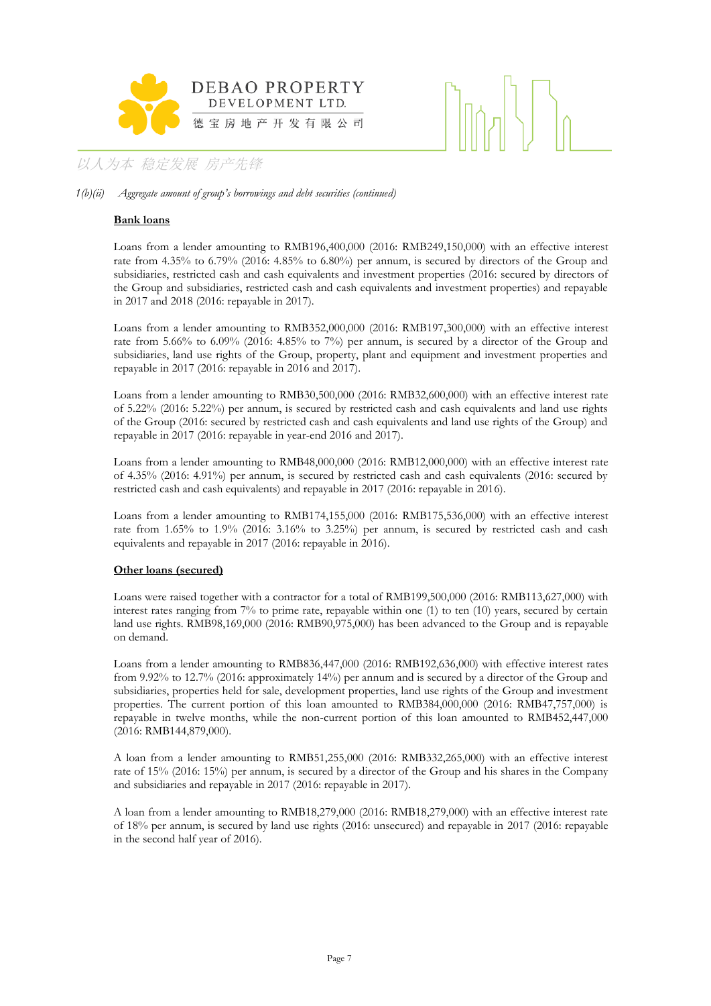

#### *1(b)(ii) Aggregate amount of group's borrowings and debt securities (continued)*

#### **Bank loans**

Loans from a lender amounting to RMB196,400,000 (2016: RMB249,150,000) with an effective interest rate from 4.35% to 6.79% (2016: 4.85% to 6.80%) per annum, is secured by directors of the Group and subsidiaries, restricted cash and cash equivalents and investment properties (2016: secured by directors of the Group and subsidiaries, restricted cash and cash equivalents and investment properties) and repayable in 2017 and 2018 (2016: repayable in 2017).

Loans from a lender amounting to RMB352,000,000 (2016: RMB197,300,000) with an effective interest rate from 5.66% to 6.09% (2016: 4.85% to 7%) per annum, is secured by a director of the Group and subsidiaries, land use rights of the Group, property, plant and equipment and investment properties and repayable in 2017 (2016: repayable in 2016 and 2017).

Loans from a lender amounting to RMB30,500,000 (2016: RMB32,600,000) with an effective interest rate of 5.22% (2016: 5.22%) per annum, is secured by restricted cash and cash equivalents and land use rights of the Group (2016: secured by restricted cash and cash equivalents and land use rights of the Group) and repayable in 2017 (2016: repayable in year-end 2016 and 2017).

Loans from a lender amounting to RMB48,000,000 (2016: RMB12,000,000) with an effective interest rate of 4.35% (2016: 4.91%) per annum, is secured by restricted cash and cash equivalents (2016: secured by restricted cash and cash equivalents) and repayable in 2017 (2016: repayable in 2016).

Loans from a lender amounting to RMB174,155,000 (2016: RMB175,536,000) with an effective interest rate from 1.65% to 1.9% (2016: 3.16% to 3.25%) per annum, is secured by restricted cash and cash equivalents and repayable in 2017 (2016: repayable in 2016).

#### **Other loans (secured)**

Loans were raised together with a contractor for a total of RMB199,500,000 (2016: RMB113,627,000) with interest rates ranging from 7% to prime rate, repayable within one (1) to ten (10) years, secured by certain land use rights. RMB98,169,000 (2016: RMB90,975,000) has been advanced to the Group and is repayable on demand.

Loans from a lender amounting to RMB836,447,000 (2016: RMB192,636,000) with effective interest rates from 9.92% to 12.7% (2016: approximately 14%) per annum and is secured by a director of the Group and subsidiaries, properties held for sale, development properties, land use rights of the Group and investment properties. The current portion of this loan amounted to RMB384,000,000 (2016: RMB47,757,000) is repayable in twelve months, while the non-current portion of this loan amounted to RMB452,447,000 (2016: RMB144,879,000).

A loan from a lender amounting to RMB51,255,000 (2016: RMB332,265,000) with an effective interest rate of 15% (2016: 15%) per annum, is secured by a director of the Group and his shares in the Company and subsidiaries and repayable in 2017 (2016: repayable in 2017).

A loan from a lender amounting to RMB18,279,000 (2016: RMB18,279,000) with an effective interest rate of 18% per annum, is secured by land use rights (2016: unsecured) and repayable in 2017 (2016: repayable in the second half year of 2016).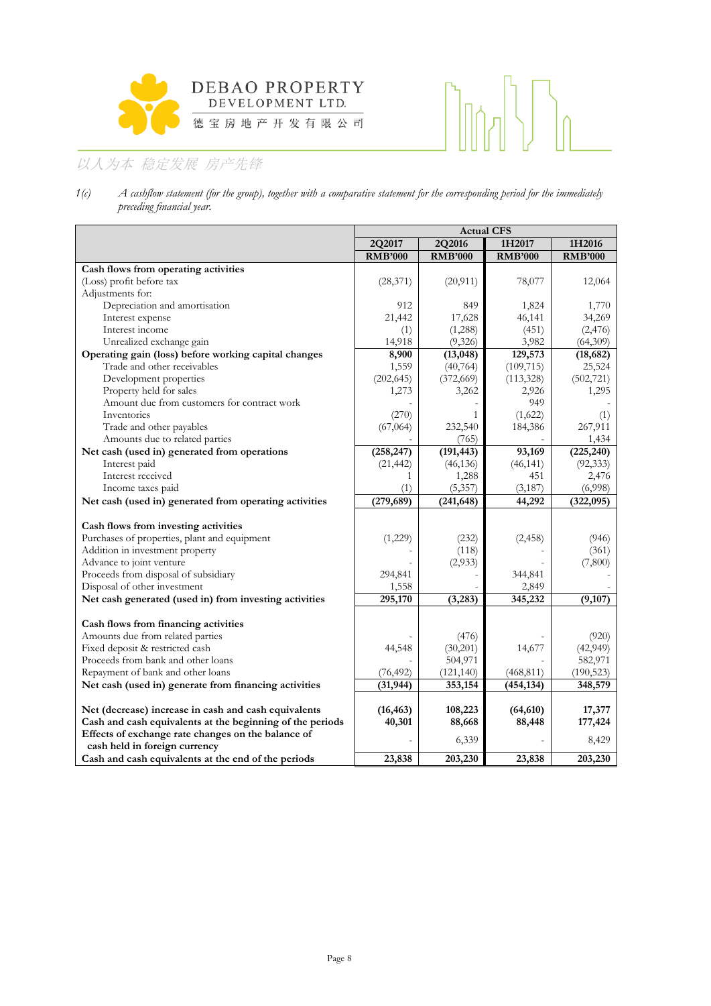

## $\bigcap_{n\in\mathbb{N}}$

## 以人为本 稳定发展 房产先锋

*1(c) A cashflow statement (for the group), together with a comparative statement for the corresponding period for the immediately preceding financial year.*

|                                                           | <b>Actual CFS</b> |                |                |                |  |  |
|-----------------------------------------------------------|-------------------|----------------|----------------|----------------|--|--|
|                                                           | 2Q2017            | 2Q2016         | 1H2017         | 1H2016         |  |  |
|                                                           | <b>RMB'000</b>    | <b>RMB'000</b> | <b>RMB'000</b> | <b>RMB'000</b> |  |  |
| Cash flows from operating activities                      |                   |                |                |                |  |  |
| (Loss) profit before tax                                  | (28, 371)         | (20, 911)      | 78,077         | 12,064         |  |  |
| Adjustments for:                                          |                   |                |                |                |  |  |
| Depreciation and amortisation                             | 912               | 849            | 1,824          | 1,770          |  |  |
| Interest expense                                          | 21,442            | 17,628         | 46,141         | 34,269         |  |  |
| Interest income                                           | (1)               | (1,288)        | (451)          | (2,476)        |  |  |
| Unrealized exchange gain                                  | 14,918            | (9,326)        | 3,982          | (64,309)       |  |  |
| Operating gain (loss) before working capital changes      | 8,900             | (13, 048)      | 129,573        | (18, 682)      |  |  |
| Trade and other receivables                               | 1,559             | (40, 764)      | (109, 715)     | 25,524         |  |  |
| Development properties                                    | (202, 645)        | (372, 669)     | (113,328)      | (502, 721)     |  |  |
| Property held for sales                                   | 1,273             | 3,262          | 2,926          | 1,295          |  |  |
| Amount due from customers for contract work               |                   |                | 949            |                |  |  |
| Inventories                                               | (270)             | 1              | (1,622)        | (1)            |  |  |
| Trade and other payables                                  | (67,064)          | 232,540        | 184,386        | 267,911        |  |  |
| Amounts due to related parties                            |                   | (765)          |                | 1,434          |  |  |
| Net cash (used in) generated from operations              | (258, 247)        | (191, 443)     | 93,169         | (225, 240)     |  |  |
| Interest paid                                             | (21, 442)         | (46, 136)      | (46, 141)      | (92, 333)      |  |  |
| Interest received                                         | 1                 | 1,288          | 451            | 2,476          |  |  |
| Income taxes paid                                         | (1)               | (5,357)        | (3,187)        | (6,998)        |  |  |
| Net cash (used in) generated from operating activities    | (279, 689)        | (241, 648)     | 44,292         | (322,095)      |  |  |
| Cash flows from investing activities                      |                   |                |                |                |  |  |
| Purchases of properties, plant and equipment              | (1,229)           | (232)          | (2, 458)       | (946)          |  |  |
| Addition in investment property                           |                   | (118)          |                | (361)          |  |  |
| Advance to joint venture                                  |                   | (2,933)        |                | (7,800)        |  |  |
| Proceeds from disposal of subsidiary                      | 294,841           |                | 344,841        |                |  |  |
| Disposal of other investment                              | 1,558             |                | 2,849          |                |  |  |
| Net cash generated (used in) from investing activities    | 295,170           | (3,283)        | 345,232        | (9,107)        |  |  |
|                                                           |                   |                |                |                |  |  |
| Cash flows from financing activities                      |                   |                |                |                |  |  |
| Amounts due from related parties                          |                   | (476)          |                | (920)          |  |  |
| Fixed deposit & restricted cash                           | 44,548            | (30,201)       | 14,677         | (42,949)       |  |  |
| Proceeds from bank and other loans                        |                   | 504,971        |                | 582,971        |  |  |
| Repayment of bank and other loans                         | (76, 492)         | (121, 140)     | (468, 811)     | (190, 523)     |  |  |
| Net cash (used in) generate from financing activities     | (31, 944)         | 353,154        | (454, 134)     | 348,579        |  |  |
| Net (decrease) increase in cash and cash equivalents      | (16, 463)         | 108,223        | (64, 610)      | 17,377         |  |  |
| Cash and cash equivalents at the beginning of the periods | 40,301            | 88,668         | 88,448         | 177,424        |  |  |
| Effects of exchange rate changes on the balance of        |                   |                |                |                |  |  |
| cash held in foreign currency                             |                   | 6,339          |                | 8,429          |  |  |
| Cash and cash equivalents at the end of the periods       | 23,838            | 203,230        | 23,838         | 203,230        |  |  |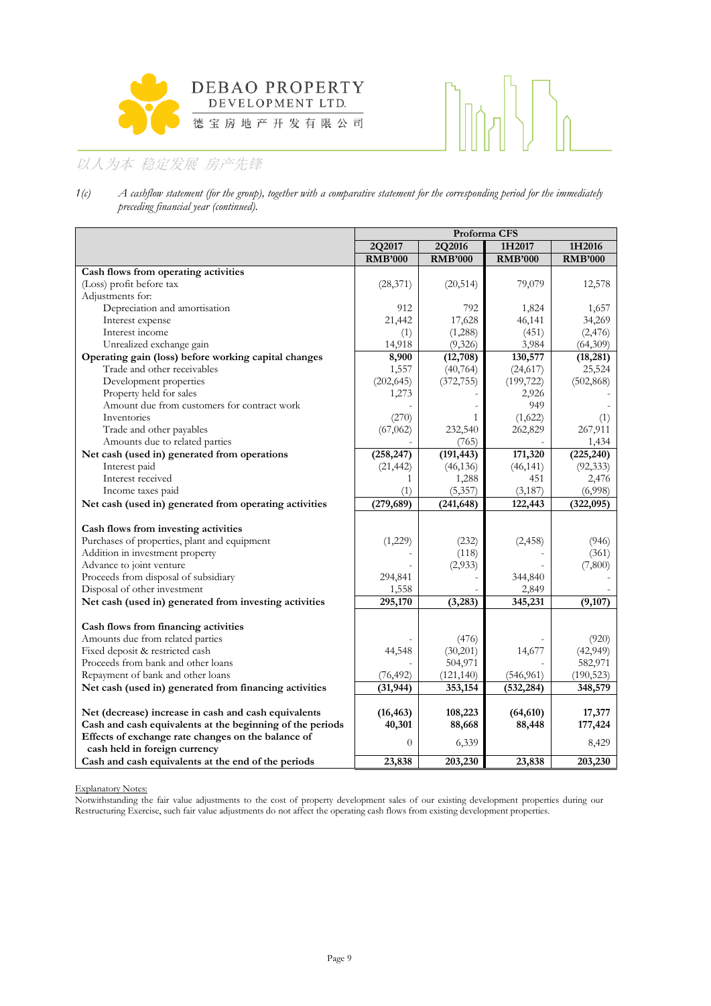



*1(c) A cashflow statement (for the group), together with a comparative statement for the corresponding period for the immediately preceding financial year (continued).*

|                                                                                     | Proforma CFS        |                |                |                |  |  |
|-------------------------------------------------------------------------------------|---------------------|----------------|----------------|----------------|--|--|
|                                                                                     | 2Q2017              | 2Q2016         | 1H2017         | 1H2016         |  |  |
|                                                                                     | <b>RMB'000</b>      | <b>RMB'000</b> | <b>RMB'000</b> | <b>RMB'000</b> |  |  |
| Cash flows from operating activities                                                |                     |                |                |                |  |  |
| (Loss) profit before tax                                                            | (28, 371)           | (20, 514)      | 79,079         | 12,578         |  |  |
| Adjustments for:                                                                    |                     |                |                |                |  |  |
| Depreciation and amortisation                                                       | 912                 | 792            | 1,824          | 1,657          |  |  |
| Interest expense                                                                    | 21,442              | 17,628         | 46,141         | 34,269         |  |  |
| Interest income                                                                     | (1)                 | (1,288)        | (451)          | (2, 476)       |  |  |
| Unrealized exchange gain                                                            | 14,918              | (9,326)        | 3,984          | (64,309)       |  |  |
| Operating gain (loss) before working capital changes                                | 8,900               | (12,708)       | 130,577        | (18, 281)      |  |  |
| Trade and other receivables                                                         | 1,557               | (40, 764)      | (24, 617)      | 25,524         |  |  |
| Development properties                                                              | (202, 645)          | (372, 755)     | (199, 722)     | (502, 868)     |  |  |
| Property held for sales                                                             | 1,273               |                | 2,926          |                |  |  |
| Amount due from customers for contract work                                         |                     |                | 949            |                |  |  |
| Inventories                                                                         | (270)               | 1              | (1,622)        | (1)            |  |  |
| Trade and other payables                                                            | (67,062)            | 232,540        | 262,829        | 267,911        |  |  |
| Amounts due to related parties                                                      |                     | (765)          |                | 1,434          |  |  |
| Net cash (used in) generated from operations                                        | (258, 247)          | (191, 443)     | 171,320        | (225, 240)     |  |  |
| Interest paid                                                                       | (21, 442)           | (46, 136)      | (46, 141)      | (92, 333)      |  |  |
| Interest received                                                                   | 1                   | 1,288          | 451            | 2,476          |  |  |
| Income taxes paid                                                                   | (1)                 | (5, 357)       | (3,187)        | (6,998)        |  |  |
| Net cash (used in) generated from operating activities                              | (279, 689)          | (241, 648)     | 122,443        | (322,095)      |  |  |
| Cash flows from investing activities                                                |                     |                |                |                |  |  |
| Purchases of properties, plant and equipment                                        | (1,229)             | (232)          | (2, 458)       | (946)          |  |  |
| Addition in investment property                                                     |                     | (118)          |                | (361)          |  |  |
| Advance to joint venture                                                            |                     | (2,933)        |                | (7,800)        |  |  |
| Proceeds from disposal of subsidiary                                                | 294,841             |                | 344,840        |                |  |  |
| Disposal of other investment                                                        | 1,558               |                | 2,849          |                |  |  |
| Net cash (used in) generated from investing activities                              | 295,170             | (3,283)        | 345,231        | (9,107)        |  |  |
|                                                                                     |                     |                |                |                |  |  |
| Cash flows from financing activities                                                |                     |                |                |                |  |  |
| Amounts due from related parties                                                    |                     | (476)          |                | (920)          |  |  |
| Fixed deposit & restricted cash                                                     | 44,548              | (30,201)       | 14,677         | (42, 949)      |  |  |
| Proceeds from bank and other loans                                                  |                     | 504,971        |                | 582,971        |  |  |
| Repayment of bank and other loans                                                   | (76, 492)           | (121, 140)     | (546, 961)     | (190, 523)     |  |  |
| Net cash (used in) generated from financing activities                              | (31, 944)           | 353,154        | (532, 284)     | 348,579        |  |  |
|                                                                                     |                     |                |                |                |  |  |
| Net (decrease) increase in cash and cash equivalents                                | (16, 463)<br>40,301 | 108,223        | (64, 610)      | 17,377         |  |  |
| Cash and cash equivalents at the beginning of the periods                           |                     | 88,668         | 88,448         | 177,424        |  |  |
| Effects of exchange rate changes on the balance of<br>cash held in foreign currency | $\overline{0}$      | 6,339          |                | 8,429          |  |  |
| Cash and cash equivalents at the end of the periods                                 | 23,838              | 203,230        | 23,838         | 203,230        |  |  |

Explanatory Notes:

Notwithstanding the fair value adjustments to the cost of property development sales of our existing development properties during our Restructuring Exercise, such fair value adjustments do not affect the operating cash flows from existing development properties.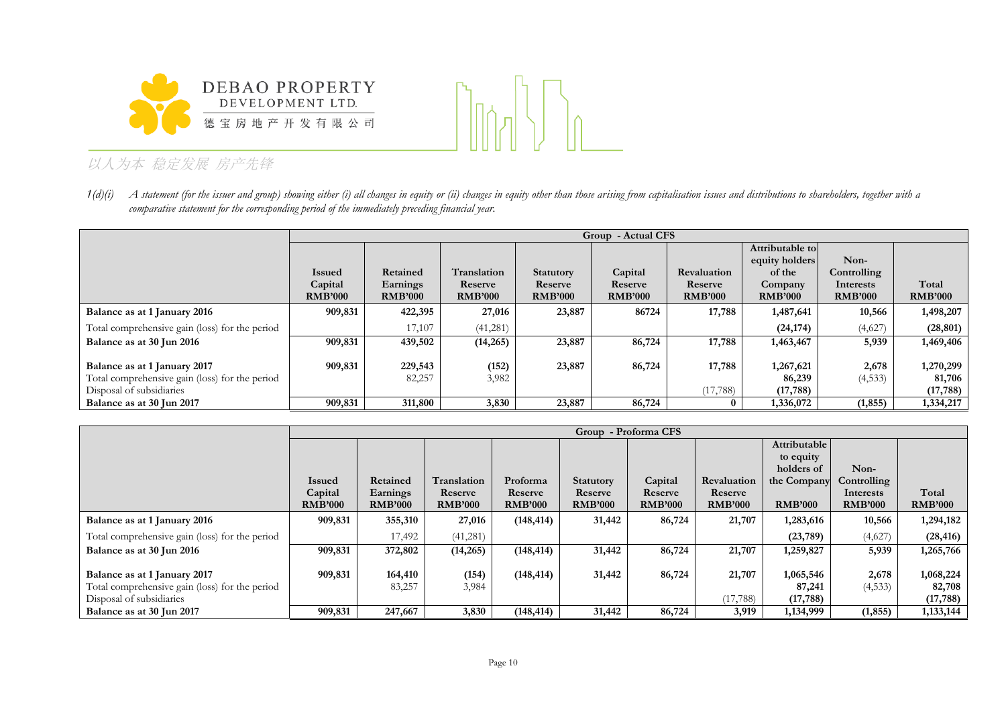



1(d)(i) A statement (for the issuer and group) showing either (i) all changes in equity or (ii) changes in equity other than those arising from capitalisation issues and distributions to shareholders, together with a *comparative statement for the corresponding period of the immediately preceding financial year.*

|                                                |                | Group - Actual CFS |                |                  |                |                |                 |                |                |
|------------------------------------------------|----------------|--------------------|----------------|------------------|----------------|----------------|-----------------|----------------|----------------|
|                                                |                |                    |                |                  |                |                | Attributable to |                |                |
|                                                |                |                    |                |                  |                |                | equity holders  | Non-           |                |
|                                                | <b>Issued</b>  | Retained           | Translation    | <b>Statutory</b> | Capital        | Revaluation    | of the          | Controlling    |                |
|                                                | Capital        | Earnings           | Reserve        | Reserve          | Reserve        | Reserve        | Company         | Interests      | Total          |
|                                                | <b>RMB'000</b> | <b>RMB'000</b>     | <b>RMB'000</b> | <b>RMB'000</b>   | <b>RMB'000</b> | <b>RMB'000</b> | <b>RMB'000</b>  | <b>RMB'000</b> | <b>RMB'000</b> |
| Balance as at 1 January 2016                   | 909,831        | 422,395            | 27,016         | 23,887           | 86724          | 17,788         | 1,487,641       | 10,566         | 1,498,207      |
| Total comprehensive gain (loss) for the period |                | 17,107             | (41, 281)      |                  |                |                | (24, 174)       | (4,627)        | (28, 801)      |
| Balance as at 30 Jun 2016                      | 909,831        | 439,502            | (14,265)       | 23,887           | 86,724         | 17,788         | 1,463,467       | 5,939          | 1,469,406      |
|                                                |                |                    |                |                  |                |                |                 |                |                |
| Balance as at 1 January 2017                   | 909,831        | 229,543            | (152)          | 23,887           | 86,724         | 17,788         | 1,267,621       | 2,678          | 1,270,299      |
| Total comprehensive gain (loss) for the period |                | 82,257             | 3,982          |                  |                |                | 86,239          | (4,533)        | 81,706         |
| Disposal of subsidiaries                       |                |                    |                |                  |                | (17, 788)      | (17, 788)       |                | (17, 788)      |
| Balance as at 30 Jun 2017                      | 909,831        | 311,800            | 3,830          | 23,887           | 86,724         |                | 1,336,072       | (1, 855)       | 1,334,217      |

|                                                |                | Group - Proforma CFS |                |                |                  |                |                |                |                |                |
|------------------------------------------------|----------------|----------------------|----------------|----------------|------------------|----------------|----------------|----------------|----------------|----------------|
|                                                |                |                      |                |                |                  |                |                | Attributable   |                |                |
|                                                |                |                      |                |                |                  |                |                | to equity      |                |                |
|                                                |                |                      |                |                |                  |                |                | holders of     | Non-           |                |
|                                                | <b>Issued</b>  | Retained             | Translation    | Proforma       | <b>Statutory</b> | Capital        | Revaluation    | the Company    | Controlling    |                |
|                                                | Capital        | Earnings             | Reserve        | Reserve        | Reserve          | Reserve        | Reserve        |                | Interests      | Total          |
|                                                | <b>RMB'000</b> | <b>RMB'000</b>       | <b>RMB'000</b> | <b>RMB'000</b> | <b>RMB'000</b>   | <b>RMB'000</b> | <b>RMB'000</b> | <b>RMB'000</b> | <b>RMB'000</b> | <b>RMB'000</b> |
| Balance as at 1 January 2016                   | 909,831        | 355,310              | 27,016         | (148, 414)     | 31,442           | 86,724         | 21,707         | 1,283,616      | 10,566         | 1,294,182      |
| Total comprehensive gain (loss) for the period |                | 17,492               | (41, 281)      |                |                  |                |                | (23, 789)      | (4,627)        | (28, 416)      |
| Balance as at 30 Jun 2016                      | 909,831        | 372,802              | (14,265)       | (148, 414)     | 31,442           | 86,724         | 21,707         | 1,259,827      | 5,939          | 1,265,766      |
|                                                |                |                      |                |                |                  |                |                |                |                |                |
| Balance as at 1 January 2017                   | 909,831        | 164,410              | (154)          | (148, 414)     | 31,442           | 86,724         | 21,707         | 1,065,546      | 2,678          | 1,068,224      |
| Total comprehensive gain (loss) for the period |                | 83,257               | 3,984          |                |                  |                |                | 87,241         | (4,533)        | 82,708         |
| Disposal of subsidiaries                       |                |                      |                |                |                  |                | (17, 788)      | (17, 788)      |                | (17, 788)      |
| Balance as at 30 Jun 2017                      | 909,831        | 247,667              | 3,830          | (148, 414)     | 31,442           | 86,724         | 3,919          | 1,134,999      | (1, 855)       | 1,133,144      |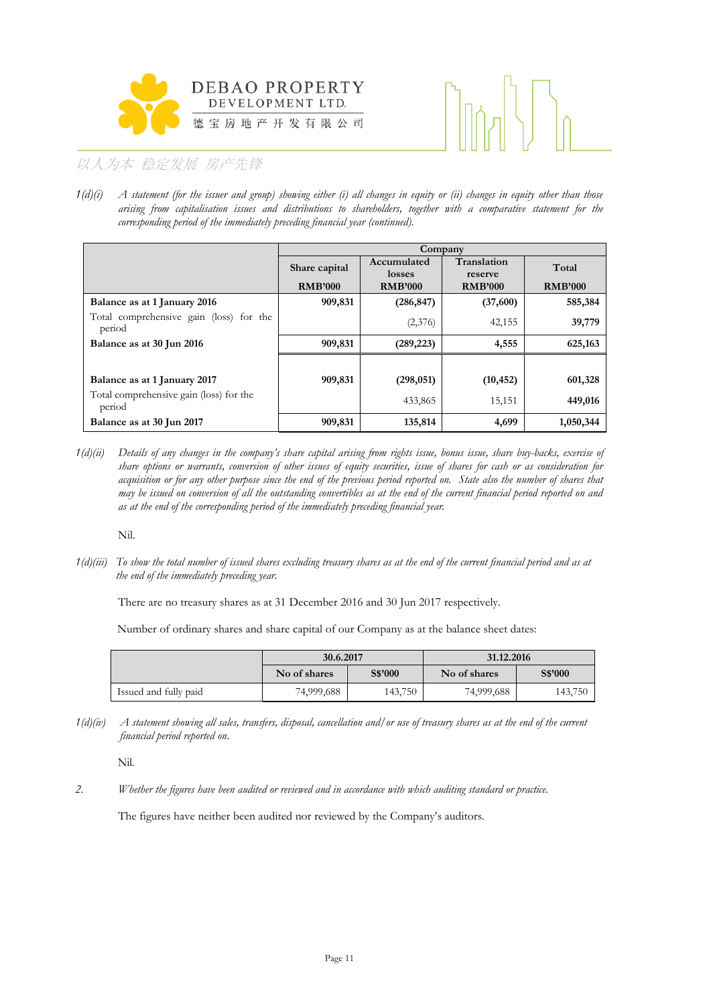



*1(d)(i) A statement (for the issuer and group) showing either (i) all changes in equity or (ii) changes in equity other than those arising from capitalisation issues and distributions to shareholders, together with a comparative statement for the corresponding period of the immediately preceding financial year (continued).*

|                                                   |                |                       | Company                |                |
|---------------------------------------------------|----------------|-----------------------|------------------------|----------------|
|                                                   | Share capital  | Accumulated<br>losses | Translation<br>reserve | Total          |
|                                                   | <b>RMB'000</b> | <b>RMB'000</b>        | <b>RMB'000</b>         | <b>RMB'000</b> |
| Balance as at 1 January 2016                      | 909,831        | (286, 847)            | (37,600)               | 585,384        |
| Total comprehensive gain (loss) for the<br>period |                | (2,376)               | 42,155                 | 39,779         |
| Balance as at 30 Jun 2016                         | 909,831        | (289, 223)            | 4,555                  | 625,163        |
|                                                   |                |                       |                        |                |
| Balance as at 1 January 2017                      | 909,831        | (298, 051)            | (10, 452)              | 601,328        |
| Total comprehensive gain (loss) for the<br>period |                | 433,865               | 15,151                 | 449,016        |
| Balance as at 30 Jun 2017                         | 909,831        | 135,814               | 4,699                  | 1,050,344      |

*1(d)(ii) Details of any changes in the company's share capital arising from rights issue, bonus issue, share buy-backs, exercise of share options or warrants, conversion of other issues of equity securities, issue of shares for cash or as consideration for acquisition or for any other purpose since the end of the previous period reported on. State also the number of shares that may be issued on conversion of all the outstanding convertibles as at the end of the current financial period reported on and as at the end of the corresponding period of the immediately preceding financial year.*

Nil.

*1(d)(iii) To show the total number of issued shares excluding treasury shares as at the end of the current financial period and as at the end of the immediately preceding year.*

There are no treasury shares as at 31 December 2016 and 30 Jun 2017 respectively.

Number of ordinary shares and share capital of our Company as at the balance sheet dates:

|                       | 30.6.2017    |         | 31.12.2016   |         |  |  |
|-----------------------|--------------|---------|--------------|---------|--|--|
|                       | No of shares | S\$'000 | No of shares | S\$'000 |  |  |
| Issued and fully paid | 74,999,688   | 143,750 | 74,999,688   | 143,750 |  |  |

*1(d)(iv) A statement showing all sales, transfers, disposal, cancellation and/or use of treasury shares as at the end of the current financial period reported on*.

Nil.

*2. Whether the figures have been audited or reviewed and in accordance with which auditing standard or practice.*

The figures have neither been audited nor reviewed by the Company's auditors.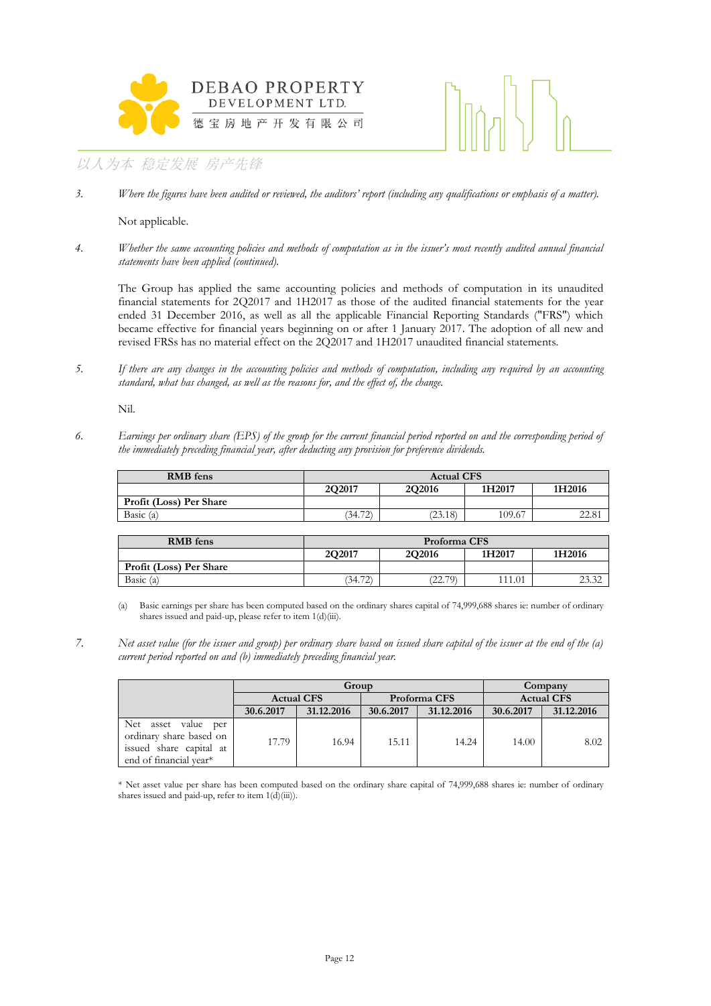



*3. Where the figures have been audited or reviewed, the auditors' report (including any qualifications or emphasis of a matter).*

Not applicable.

*4. Whether the same accounting policies and methods of computation as in the issuer's most recently audited annual financial statements have been applied (continued).*

The Group has applied the same accounting policies and methods of computation in its unaudited financial statements for 2Q2017 and 1H2017 as those of the audited financial statements for the year ended 31 December 2016, as well as all the applicable Financial Reporting Standards ("FRS") which became effective for financial years beginning on or after 1 January 2017. The adoption of all new and revised FRSs has no material effect on the 2Q2017 and 1H2017 unaudited financial statements.

*5. If there are any changes in the accounting policies and methods of computation, including any required by an accounting standard, what has changed, as well as the reasons for, and the effect of, the change.*

Nil.

*6. Earnings per ordinary share (EPS) of the group for the current financial period reported on and the corresponding period of the immediately preceding financial year, after deducting any provision for preference dividends.*

| <b>RMB</b> fens         | <b>Actual CFS</b> |               |        |        |  |
|-------------------------|-------------------|---------------|--------|--------|--|
|                         | 202017            | <b>2O2016</b> | 1H2017 | 1H2016 |  |
| Profit (Loss) Per Share |                   |               |        |        |  |
| Basic (a)               | (34.72)           | (23.18)       | 109.67 | 44.OI  |  |

| <b>RMB</b> fens         | Proforma CFS                                |         |       |                |  |
|-------------------------|---------------------------------------------|---------|-------|----------------|--|
|                         | <b>2O2016</b><br>2O2017<br>1H2017<br>1H2016 |         |       |                |  |
| Profit (Loss) Per Share |                                             |         |       |                |  |
| Basic (a)               | 70<br>′34.7<br>∠                            | (22.79) | 11.01 | 22.22<br>4J.JZ |  |

(a) Basic earnings per share has been computed based on the ordinary shares capital of 74,999,688 shares ie: number of ordinary shares issued and paid-up, please refer to item 1(d)(iii).

*7. Net asset value (for the issuer and group) per ordinary share based on issued share capital of the issuer at the end of the (a) current period reported on and (b) immediately preceding financial year.*

|                                                                                                              | Group             |            |              |            | Company           |            |
|--------------------------------------------------------------------------------------------------------------|-------------------|------------|--------------|------------|-------------------|------------|
|                                                                                                              | <b>Actual CFS</b> |            | Proforma CFS |            | <b>Actual CFS</b> |            |
|                                                                                                              | 30.6.2017         | 31.12.2016 | 30.6.2017    | 31.12.2016 | 30.6.2017         | 31.12.2016 |
| Net<br>asset<br>value<br>per<br>ordinary share based on<br>issued share capital at<br>end of financial year* | 17.79             | 16.94      | 15.11        | 14.24      | 14.00             | 8.02       |

\* Net asset value per share has been computed based on the ordinary share capital of 74,999,688 shares ie: number of ordinary shares issued and paid-up, refer to item  $1(\overrightarrow{d})$ (iii)).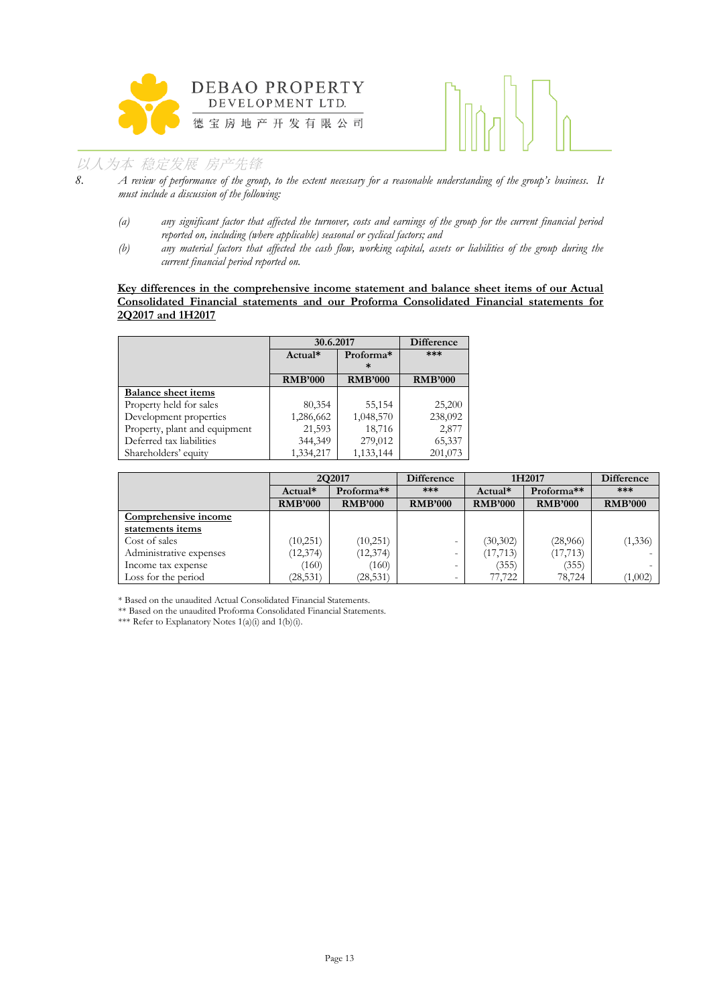



- *8. A review of performance of the group, to the extent necessary for a reasonable understanding of the group's business. It must include a discussion of the following:*
	- *(a) any significant factor that affected the turnover, costs and earnings of the group for the current financial period reported on, including (where applicable) seasonal or cyclical factors; and*
	- *(b) any material factors that affected the cash flow, working capital, assets or liabilities of the group during the current financial period reported on.*

#### **Key differences in the comprehensive income statement and balance sheet items of our Actual Consolidated Financial statements and our Proforma Consolidated Financial statements for 2Q2017 and 1H2017**

|                               |                | 30.6.2017      |                |  |
|-------------------------------|----------------|----------------|----------------|--|
|                               | Actual*        | Proforma*<br>ж | ***            |  |
|                               | <b>RMB'000</b> | <b>RMB'000</b> | <b>RMB'000</b> |  |
| <b>Balance sheet items</b>    |                |                |                |  |
| Property held for sales       | 80,354         | 55,154         | 25,200         |  |
| Development properties        | 1,286,662      | 1,048,570      | 238,092        |  |
| Property, plant and equipment | 21,593         | 18,716         | 2,877          |  |
| Deferred tax liabilities      | 344,349        | 279,012        | 65,337         |  |
| Shareholders' equity          | 1,334,217      | 1,133,144      | 201,073        |  |

|                         | 2Q2017         |                | <b>Difference</b><br>1H2017 |                | Difference     |                |
|-------------------------|----------------|----------------|-----------------------------|----------------|----------------|----------------|
|                         | Actual*        | Proforma**     | ***                         | Actual*        | Proforma**     | $***$          |
|                         | <b>RMB'000</b> | <b>RMB'000</b> | <b>RMB'000</b>              | <b>RMB'000</b> | <b>RMB'000</b> | <b>RMB'000</b> |
| Comprehensive income    |                |                |                             |                |                |                |
| statements items        |                |                |                             |                |                |                |
| Cost of sales           | (10,251)       | (10,251)       | $\overline{\phantom{a}}$    | (30, 302)      | (28,966)       | (1, 336)       |
| Administrative expenses | (12, 374)      | (12, 374)      | $\overline{\phantom{a}}$    | (17, 713)      | (17, 713)      |                |
| Income tax expense      | (160)          | (160)          | $\overline{\phantom{0}}$    | (355)          | (355)          |                |
| Loss for the period     | (28, 531)      | (28, 531)      |                             | 77,722         | 78,724         | (1,002)        |

\* Based on the unaudited Actual Consolidated Financial Statements.

\*\* Based on the unaudited Proforma Consolidated Financial Statements.

\*\*\* Refer to Explanatory Notes 1(a)(i) and 1(b)(i).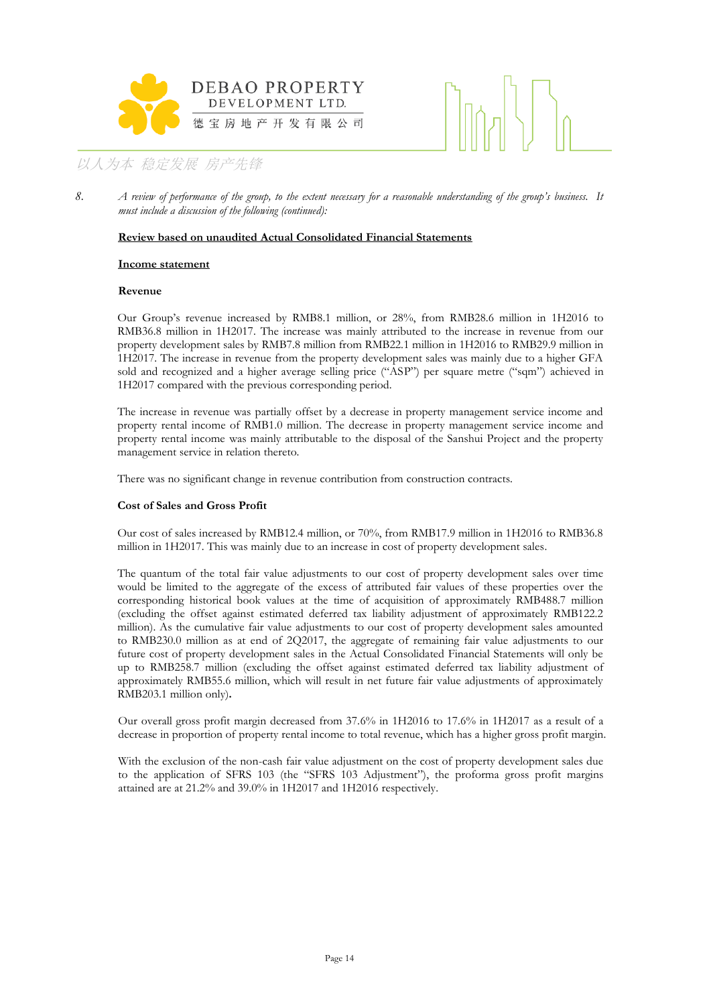



*8. A review of performance of the group, to the extent necessary for a reasonable understanding of the group's business. It must include a discussion of the following (continued):*

#### **Review based on unaudited Actual Consolidated Financial Statements**

#### **Income statement**

#### **Revenue**

Our Group's revenue increased by RMB8.1 million, or 28%, from RMB28.6 million in 1H2016 to RMB36.8 million in 1H2017. The increase was mainly attributed to the increase in revenue from our property development sales by RMB7.8 million from RMB22.1 million in 1H2016 to RMB29.9 million in 1H2017. The increase in revenue from the property development sales was mainly due to a higher GFA sold and recognized and a higher average selling price ("ASP") per square metre ("sqm") achieved in 1H2017 compared with the previous corresponding period.

The increase in revenue was partially offset by a decrease in property management service income and property rental income of RMB1.0 million. The decrease in property management service income and property rental income was mainly attributable to the disposal of the Sanshui Project and the property management service in relation thereto.

There was no significant change in revenue contribution from construction contracts.

#### **Cost of Sales and Gross Profit**

Our cost of sales increased by RMB12.4 million, or 70%, from RMB17.9 million in 1H2016 to RMB36.8 million in 1H2017. This was mainly due to an increase in cost of property development sales.

The quantum of the total fair value adjustments to our cost of property development sales over time would be limited to the aggregate of the excess of attributed fair values of these properties over the corresponding historical book values at the time of acquisition of approximately RMB488.7 million (excluding the offset against estimated deferred tax liability adjustment of approximately RMB122.2 million). As the cumulative fair value adjustments to our cost of property development sales amounted to RMB230.0 million as at end of 2Q2017, the aggregate of remaining fair value adjustments to our future cost of property development sales in the Actual Consolidated Financial Statements will only be up to RMB258.7 million (excluding the offset against estimated deferred tax liability adjustment of approximately RMB55.6 million, which will result in net future fair value adjustments of approximately RMB203.1 million only)**.**

Our overall gross profit margin decreased from 37.6% in 1H2016 to 17.6% in 1H2017 as a result of a decrease in proportion of property rental income to total revenue, which has a higher gross profit margin.

With the exclusion of the non-cash fair value adjustment on the cost of property development sales due to the application of SFRS 103 (the "SFRS 103 Adjustment"), the proforma gross profit margins attained are at 21.2% and 39.0% in 1H2017 and 1H2016 respectively.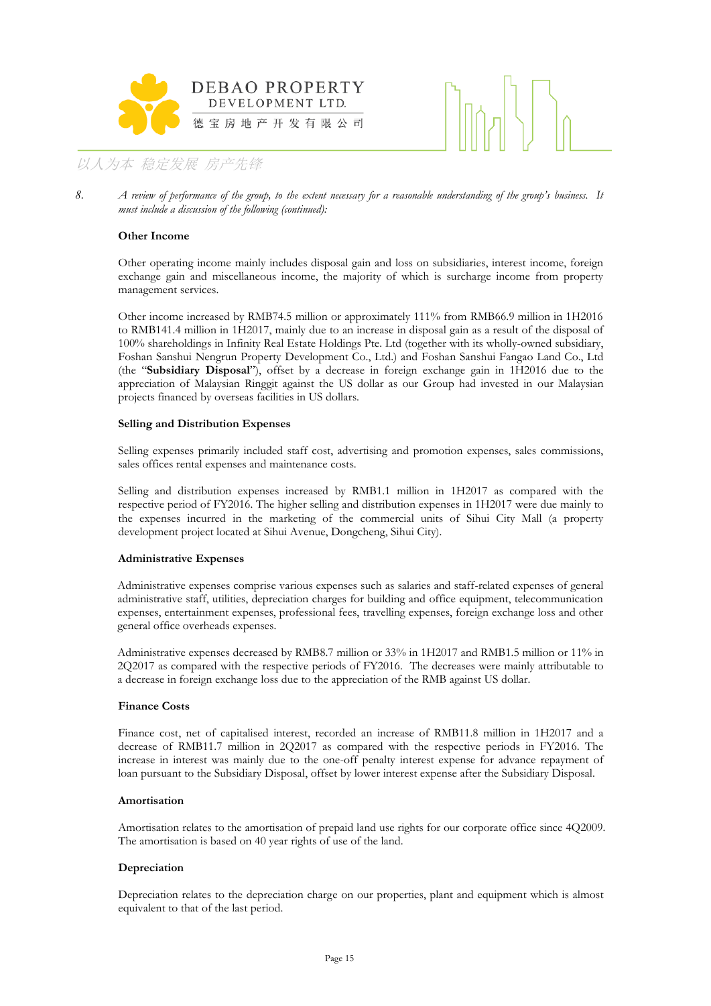



*8. A review of performance of the group, to the extent necessary for a reasonable understanding of the group's business. It must include a discussion of the following (continued):*

#### **Other Income**

Other operating income mainly includes disposal gain and loss on subsidiaries, interest income, foreign exchange gain and miscellaneous income, the majority of which is surcharge income from property management services.

Other income increased by RMB74.5 million or approximately 111% from RMB66.9 million in 1H2016 to RMB141.4 million in 1H2017, mainly due to an increase in disposal gain as a result of the disposal of 100% shareholdings in Infinity Real Estate Holdings Pte. Ltd (together with its wholly-owned subsidiary, Foshan Sanshui Nengrun Property Development Co., Ltd.) and Foshan Sanshui Fangao Land Co., Ltd (the "**Subsidiary Disposal**"), offset by a decrease in foreign exchange gain in 1H2016 due to the appreciation of Malaysian Ringgit against the US dollar as our Group had invested in our Malaysian projects financed by overseas facilities in US dollars.

#### **Selling and Distribution Expenses**

Selling expenses primarily included staff cost, advertising and promotion expenses, sales commissions, sales offices rental expenses and maintenance costs.

Selling and distribution expenses increased by RMB1.1 million in 1H2017 as compared with the respective period of FY2016. The higher selling and distribution expenses in 1H2017 were due mainly to the expenses incurred in the marketing of the commercial units of Sihui City Mall (a property development project located at Sihui Avenue, Dongcheng, Sihui City).

#### **Administrative Expenses**

Administrative expenses comprise various expenses such as salaries and staff-related expenses of general administrative staff, utilities, depreciation charges for building and office equipment, telecommunication expenses, entertainment expenses, professional fees, travelling expenses, foreign exchange loss and other general office overheads expenses.

Administrative expenses decreased by RMB8.7 million or 33% in 1H2017 and RMB1.5 million or 11% in 2Q2017 as compared with the respective periods of FY2016. The decreases were mainly attributable to a decrease in foreign exchange loss due to the appreciation of the RMB against US dollar.

#### **Finance Costs**

Finance cost, net of capitalised interest, recorded an increase of RMB11.8 million in 1H2017 and a decrease of RMB11.7 million in 2Q2017 as compared with the respective periods in FY2016. The increase in interest was mainly due to the one-off penalty interest expense for advance repayment of loan pursuant to the Subsidiary Disposal, offset by lower interest expense after the Subsidiary Disposal.

#### **Amortisation**

Amortisation relates to the amortisation of prepaid land use rights for our corporate office since 4Q2009. The amortisation is based on 40 year rights of use of the land.

#### **Depreciation**

Depreciation relates to the depreciation charge on our properties, plant and equipment which is almost equivalent to that of the last period.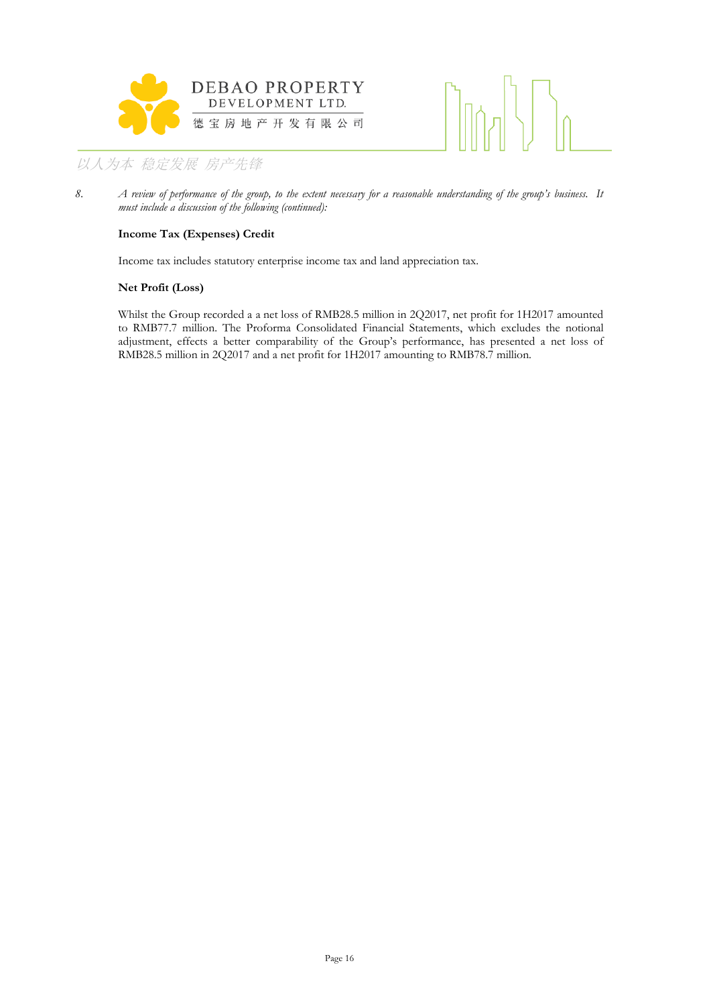



*8. A review of performance of the group, to the extent necessary for a reasonable understanding of the group's business. It must include a discussion of the following (continued):*

#### **Income Tax (Expenses) Credit**

Income tax includes statutory enterprise income tax and land appreciation tax.

#### **Net Profit (Loss)**

Whilst the Group recorded a a net loss of RMB28.5 million in 2Q2017, net profit for 1H2017 amounted to RMB77.7 million. The Proforma Consolidated Financial Statements, which excludes the notional adjustment, effects a better comparability of the Group's performance, has presented a net loss of RMB28.5 million in 2Q2017 and a net profit for 1H2017 amounting to RMB78.7 million.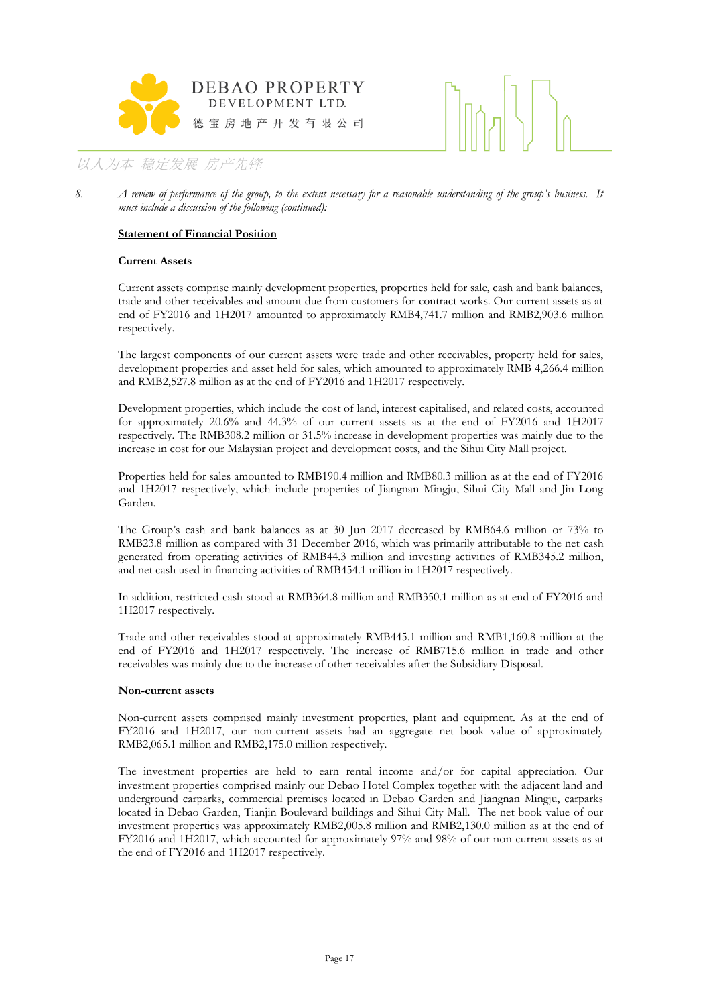



#### **Statement of Financial Position**

#### **Current Assets**

Current assets comprise mainly development properties, properties held for sale, cash and bank balances, trade and other receivables and amount due from customers for contract works. Our current assets as at end of FY2016 and 1H2017 amounted to approximately RMB4,741.7 million and RMB2,903.6 million respectively.

The largest components of our current assets were trade and other receivables, property held for sales, development properties and asset held for sales, which amounted to approximately RMB 4,266.4 million and RMB2,527.8 million as at the end of FY2016 and 1H2017 respectively.

Development properties, which include the cost of land, interest capitalised, and related costs, accounted for approximately 20.6% and 44.3% of our current assets as at the end of FY2016 and 1H2017 respectively. The RMB308.2 million or 31.5% increase in development properties was mainly due to the increase in cost for our Malaysian project and development costs, and the Sihui City Mall project.

Properties held for sales amounted to RMB190.4 million and RMB80.3 million as at the end of FY2016 and 1H2017 respectively, which include properties of Jiangnan Mingju, Sihui City Mall and Jin Long Garden.

The Group's cash and bank balances as at 30 Jun 2017 decreased by RMB64.6 million or 73% to RMB23.8 million as compared with 31 December 2016, which was primarily attributable to the net cash generated from operating activities of RMB44.3 million and investing activities of RMB345.2 million, and net cash used in financing activities of RMB454.1 million in 1H2017 respectively.

In addition, restricted cash stood at RMB364.8 million and RMB350.1 million as at end of FY2016 and 1H2017 respectively.

Trade and other receivables stood at approximately RMB445.1 million and RMB1,160.8 million at the end of FY2016 and 1H2017 respectively. The increase of RMB715.6 million in trade and other receivables was mainly due to the increase of other receivables after the Subsidiary Disposal.

#### **Non-current assets**

Non-current assets comprised mainly investment properties, plant and equipment. As at the end of FY2016 and 1H2017, our non-current assets had an aggregate net book value of approximately RMB2,065.1 million and RMB2,175.0 million respectively.

The investment properties are held to earn rental income and/or for capital appreciation. Our investment properties comprised mainly our Debao Hotel Complex together with the adjacent land and underground carparks, commercial premises located in Debao Garden and Jiangnan Mingju, carparks located in Debao Garden, Tianjin Boulevard buildings and Sihui City Mall. The net book value of our investment properties was approximately RMB2,005.8 million and RMB2,130.0 million as at the end of FY2016 and 1H2017, which accounted for approximately 97% and 98% of our non-current assets as at the end of FY2016 and 1H2017 respectively.

*<sup>8.</sup> A review of performance of the group, to the extent necessary for a reasonable understanding of the group's business. It must include a discussion of the following (continued):*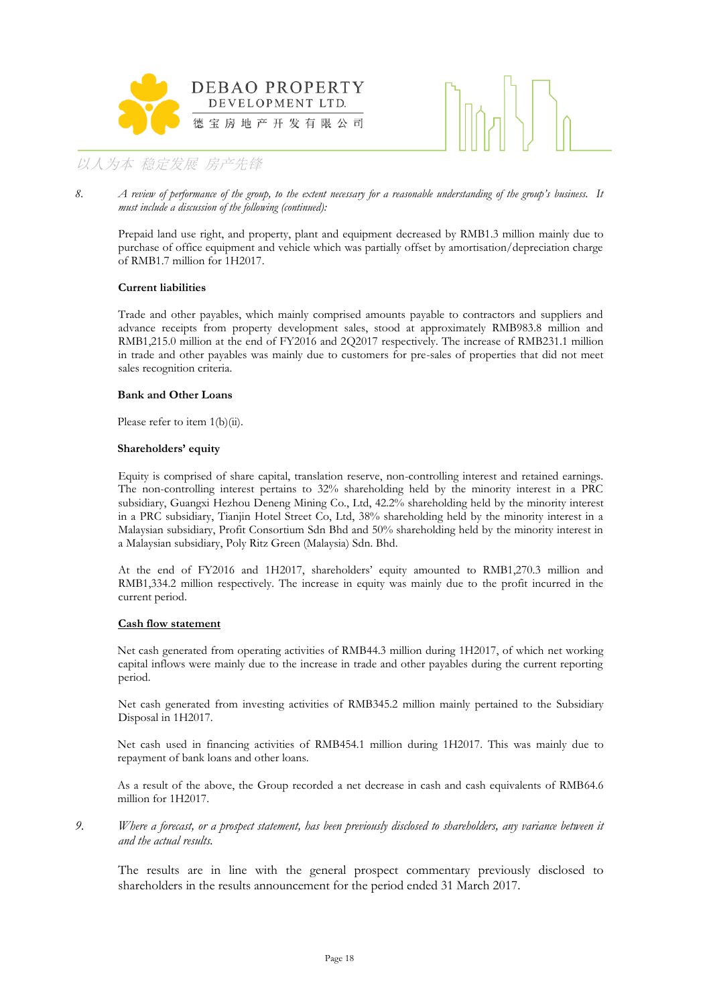



*8. A review of performance of the group, to the extent necessary for a reasonable understanding of the group's business. It must include a discussion of the following (continued):*

Prepaid land use right, and property, plant and equipment decreased by RMB1.3 million mainly due to purchase of office equipment and vehicle which was partially offset by amortisation/depreciation charge of RMB1.7 million for 1H2017.

#### **Current liabilities**

Trade and other payables, which mainly comprised amounts payable to contractors and suppliers and advance receipts from property development sales, stood at approximately RMB983.8 million and RMB1,215.0 million at the end of FY2016 and 2Q2017 respectively. The increase of RMB231.1 million in trade and other payables was mainly due to customers for pre-sales of properties that did not meet sales recognition criteria.

#### **Bank and Other Loans**

Please refer to item 1(b)(ii).

#### **Shareholders' equity**

Equity is comprised of share capital, translation reserve, non-controlling interest and retained earnings. The non-controlling interest pertains to 32% shareholding held by the minority interest in a PRC subsidiary, Guangxi Hezhou Deneng Mining Co., Ltd, 42.2% shareholding held by the minority interest in a PRC subsidiary, Tianjin Hotel Street Co, Ltd, 38% shareholding held by the minority interest in a Malaysian subsidiary, Profit Consortium Sdn Bhd and 50% shareholding held by the minority interest in a Malaysian subsidiary, Poly Ritz Green (Malaysia) Sdn. Bhd.

At the end of FY2016 and 1H2017, shareholders' equity amounted to RMB1,270.3 million and RMB1,334.2 million respectively. The increase in equity was mainly due to the profit incurred in the current period.

#### **Cash flow statement**

Net cash generated from operating activities of RMB44.3 million during 1H2017, of which net working capital inflows were mainly due to the increase in trade and other payables during the current reporting period.

Net cash generated from investing activities of RMB345.2 million mainly pertained to the Subsidiary Disposal in 1H2017.

Net cash used in financing activities of RMB454.1 million during 1H2017. This was mainly due to repayment of bank loans and other loans.

As a result of the above, the Group recorded a net decrease in cash and cash equivalents of RMB64.6 million for 1H2017.

#### *9. Where a forecast, or a prospect statement, has been previously disclosed to shareholders, any variance between it and the actual results.*

The results are in line with the general prospect commentary previously disclosed to shareholders in the results announcement for the period ended 31 March 2017.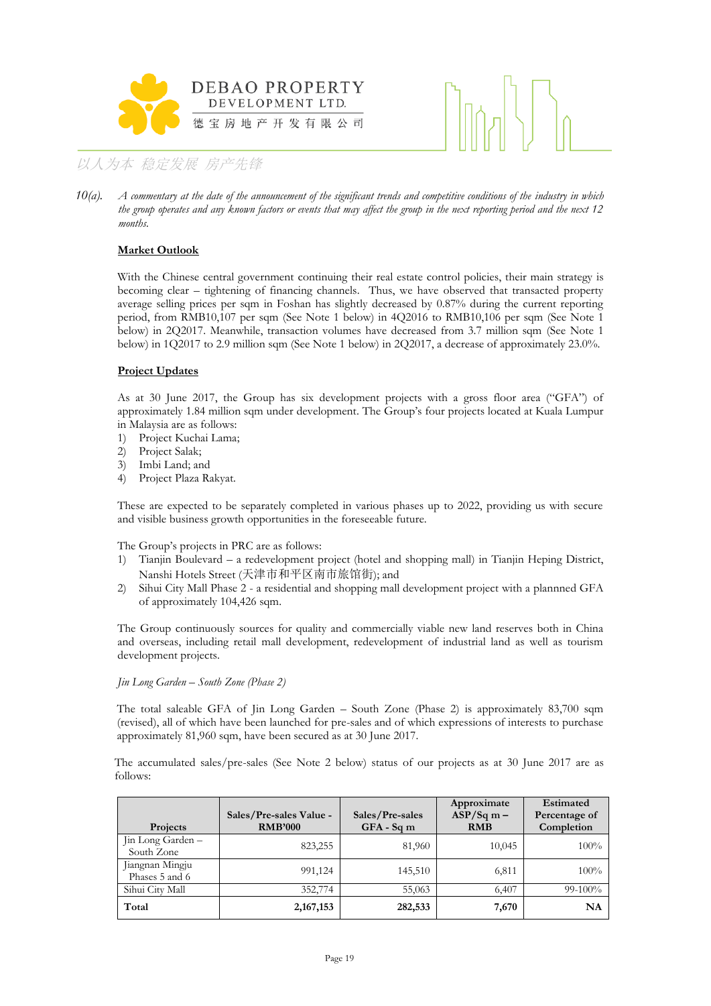



*10(a). A commentary at the date of the announcement of the significant trends and competitive conditions of the industry in which the group operates and any known factors or events that may affect the group in the next reporting period and the next 12 months.*

#### **Market Outlook**

With the Chinese central government continuing their real estate control policies, their main strategy is becoming clear – tightening of financing channels. Thus, we have observed that transacted property average selling prices per sqm in Foshan has slightly decreased by 0.87% during the current reporting period, from RMB10,107 per sqm (See Note 1 below) in 4Q2016 to RMB10,106 per sqm (See Note 1 below) in 2Q2017. Meanwhile, transaction volumes have decreased from 3.7 million sqm (See Note 1 below) in 1Q2017 to 2.9 million sqm (See Note 1 below) in 2Q2017, a decrease of approximately 23.0%.

#### **Project Updates**

As at 30 June 2017, the Group has six development projects with a gross floor area ("GFA") of approximately 1.84 million sqm under development. The Group's four projects located at Kuala Lumpur in Malaysia are as follows:

- 1) Project Kuchai Lama;
- 2) Project Salak;
- 3) Imbi Land; and
- 4) Project Plaza Rakyat.

These are expected to be separately completed in various phases up to 2022, providing us with secure and visible business growth opportunities in the foreseeable future.

The Group's projects in PRC are as follows:

- 1) Tianjin Boulevard a redevelopment project (hotel and shopping mall) in Tianjin Heping District, Nanshi Hotels Street (天津市和平区南市旅馆街); and
- 2) Sihui City Mall Phase 2 a residential and shopping mall development project with a plannned GFA of approximately 104,426 sqm.

The Group continuously sources for quality and commercially viable new land reserves both in China and overseas, including retail mall development, redevelopment of industrial land as well as tourism development projects.

#### *Jin Long Garden – South Zone (Phase 2)*

The total saleable GFA of Jin Long Garden – South Zone (Phase 2) is approximately 83,700 sqm (revised), all of which have been launched for pre-sales and of which expressions of interests to purchase approximately 81,960 sqm, have been secured as at 30 June 2017.

The accumulated sales/pre-sales (See Note 2 below) status of our projects as at 30 June 2017 are as follows:

| <b>Projects</b>                   | Sales/Pre-sales Value -<br><b>RMB'000</b> | Sales/Pre-sales<br>$GFA - Sqm$ | Approximate<br>$ASP/Sq m -$<br><b>RMB</b> | Estimated<br>Percentage of<br>Completion |
|-----------------------------------|-------------------------------------------|--------------------------------|-------------------------------------------|------------------------------------------|
| Jin Long Garden –<br>South Zone   | 823,255                                   | 81,960                         | 10,045                                    | 100%                                     |
| Jiangnan Mingju<br>Phases 5 and 6 | 991,124                                   | 145,510                        | 6,811                                     | 100%                                     |
| Sihui City Mall                   | 352,774                                   | 55,063                         | 6,407                                     | $99-100%$                                |
| Total                             | 2, 167, 153                               | 282,533                        | 7,670                                     | NA                                       |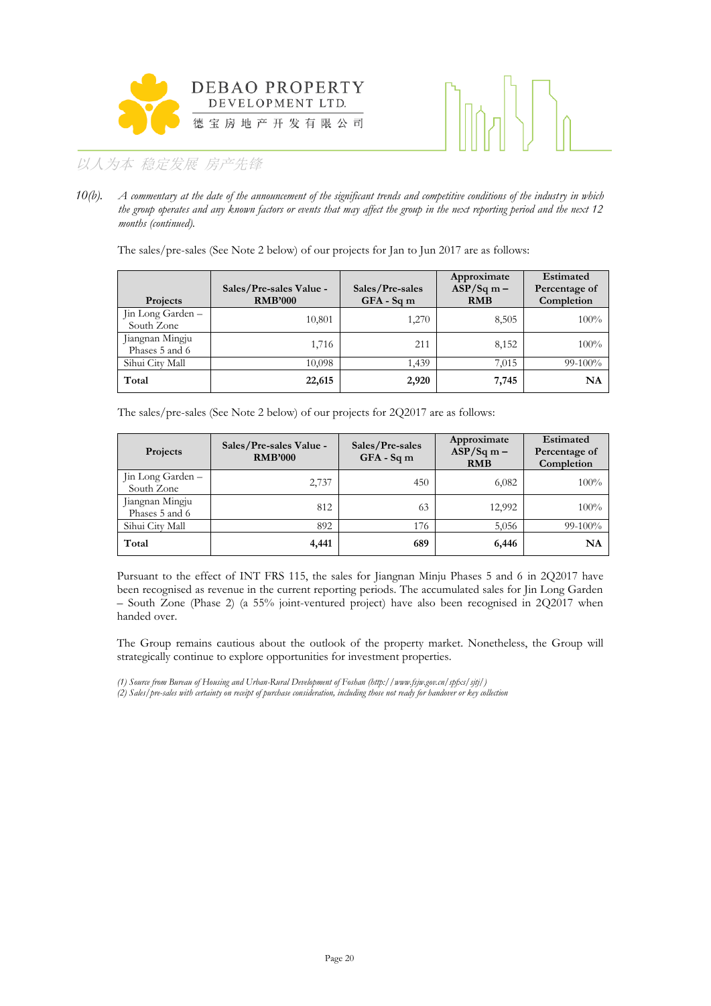



*10(b). A commentary at the date of the announcement of the significant trends and competitive conditions of the industry in which the group operates and any known factors or events that may affect the group in the next reporting period and the next 12 months (continued).*

The sales/pre-sales (See Note 2 below) of our projects for Jan to Jun 2017 are as follows:

| Projects                          | Sales/Pre-sales Value -<br><b>RMB'000</b> | Sales/Pre-sales<br>$GFA - Sqm$ | Approximate<br>$ASP/Sq m -$<br><b>RMB</b> | Estimated<br>Percentage of<br>Completion |
|-----------------------------------|-------------------------------------------|--------------------------------|-------------------------------------------|------------------------------------------|
| Jin Long Garden -<br>South Zone   | 10,801                                    | 1,270                          | 8,505                                     | 100%                                     |
| Jiangnan Mingju<br>Phases 5 and 6 | 1,716                                     | 211                            | 8,152                                     | 100%                                     |
| Sihui City Mall                   | 10,098                                    | 1,439                          | 7,015                                     | $99-100%$                                |
| Total                             | 22,615                                    | 2,920                          | 7,745                                     | NA                                       |

The sales/pre-sales (See Note 2 below) of our projects for 2Q2017 are as follows:

| Projects                          | Sales/Pre-sales Value -<br><b>RMB'000</b> | Sales/Pre-sales<br>$GFA - Sqm$ | Approximate<br>$ASP/Sq m -$<br><b>RMB</b> | Estimated<br>Percentage of<br>Completion |
|-----------------------------------|-------------------------------------------|--------------------------------|-------------------------------------------|------------------------------------------|
| Jin Long Garden -<br>South Zone   | 2,737                                     | 450                            | 6,082                                     | 100%                                     |
| Jiangnan Mingju<br>Phases 5 and 6 | 812                                       | 63                             | 12,992                                    | 100%                                     |
| Sihui City Mall                   | 892                                       | 176                            | 5,056                                     | $99-100%$                                |
| Total                             | 4,441                                     | 689                            | 6,446                                     | NA                                       |

Pursuant to the effect of INT FRS 115, the sales for Jiangnan Minju Phases 5 and 6 in 2Q2017 have been recognised as revenue in the current reporting periods. The accumulated sales for Jin Long Garden – South Zone (Phase 2) (a 55% joint-ventured project) have also been recognised in 2Q2017 when handed over.

The Group remains cautious about the outlook of the property market. Nonetheless, the Group will strategically continue to explore opportunities for investment properties.

*(1) Source from Bureau of Housing and Urban-Rural Development of Foshan (http://www.fsjw.gov.cn/spfxs/sjtj/) (2) Sales/pre-sales with certainty on receipt of purchase consideration, including those not ready for handover or key collection*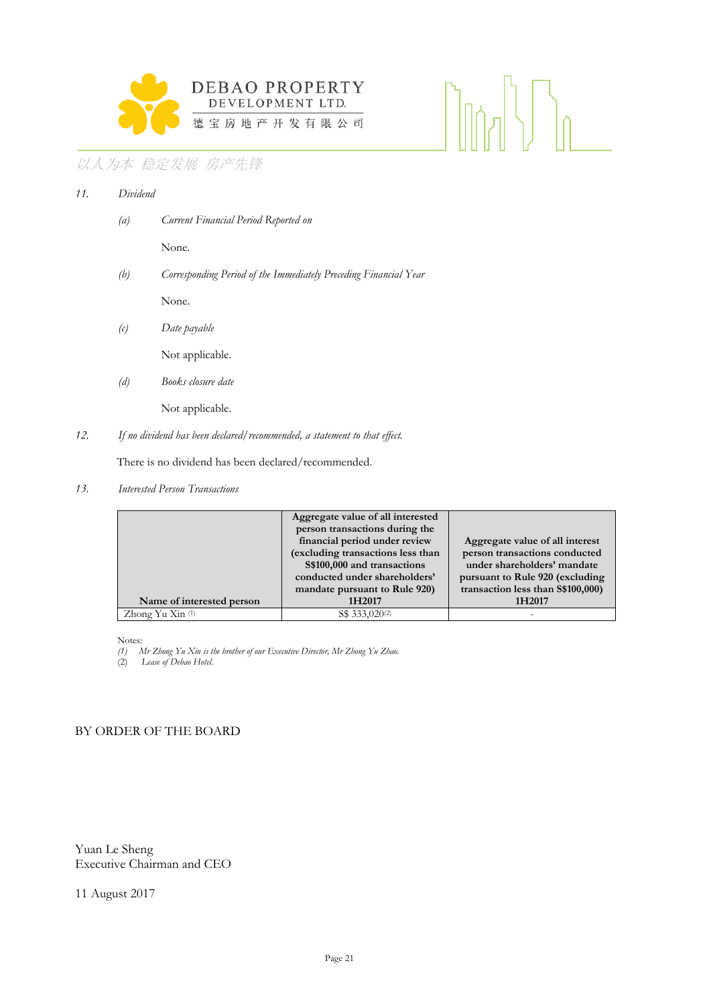

## $\langle |\rangle_0$

## 以人为本 稳定发展 房产先锋

| 11. | Dividend |                                                                  |
|-----|----------|------------------------------------------------------------------|
|     | (a)      | Current Financial Period Reported on                             |
|     |          | None.                                                            |
|     | (b)      | Corresponding Period of the Immediately Preceding Financial Year |
|     |          | None.                                                            |
|     | (c)      | Date payable                                                     |
|     |          | Not applicable.                                                  |
|     | (d)      | Books closure date                                               |
|     |          | Not applicable.                                                  |
|     |          |                                                                  |

*12. If no dividend has been declared/recommended, a statement to that effect.*

There is no dividend has been declared/recommended.

*13. Interested Person Transactions*

|                                        | Aggregate value of all interested |                                    |
|----------------------------------------|-----------------------------------|------------------------------------|
|                                        | person transactions during the    |                                    |
|                                        | financial period under review     | Aggregate value of all interest    |
|                                        | (excluding transactions less than | person transactions conducted      |
|                                        | S\$100,000 and transactions       | under shareholders' mandate        |
|                                        | conducted under shareholders'     | pursuant to Rule 920 (excluding    |
|                                        | mandate pursuant to Rule 920)     | transaction less than \$\$100,000) |
| Name of interested person              | 1H2017                            | 1H2017                             |
| Zhong Yu $\mathrm{Xin}$ <sup>(1)</sup> | S\$ 333,020 <sup>(2)</sup>        |                                    |

Notes:

*(1) Mr Zhong Yu Xin is the brother of our Executive Director, Mr Zhong Yu Zhao.*

(2) *Lease of Debao Hotel*.

### BY ORDER OF THE BOARD

Yuan Le Sheng Executive Chairman and CEO

11 August 2017